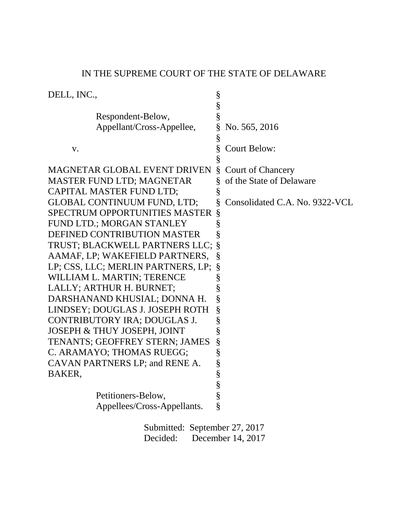| DELL, INC.,                            | § |                                |
|----------------------------------------|---|--------------------------------|
|                                        | § |                                |
| Respondent-Below,                      | § |                                |
| Appellant/Cross-Appellee,              | § | No. 565, 2016                  |
|                                        | § |                                |
| V.                                     | § | <b>Court Below:</b>            |
|                                        |   |                                |
| MAGNETAR GLOBAL EVENT DRIVEN           | Ş | <b>Court of Chancery</b>       |
| <b>MASTER FUND LTD; MAGNETAR</b>       | § | of the State of Delaware       |
| CAPITAL MASTER FUND LTD;               | § |                                |
| <b>GLOBAL CONTINUUM FUND, LTD;</b>     |   | Consolidated C.A. No. 9322-VCL |
| <b>SPECTRUM OPPORTUNITIES MASTER</b>   | § |                                |
| FUND LTD.; MORGAN STANLEY              | § |                                |
| DEFINED CONTRIBUTION MASTER            | § |                                |
| TRUST; BLACKWELL PARTNERS LLC;         | § |                                |
| AAMAF, LP; WAKEFIELD PARTNERS,         | § |                                |
| LP; CSS, LLC; MERLIN PARTNERS, LP;     | § |                                |
| WILLIAM L. MARTIN; TERENCE             | § |                                |
| LALLY; ARTHUR H. BURNET;               | § |                                |
| DARSHANAND KHUSIAL; DONNA H.           | § |                                |
| LINDSEY; DOUGLAS J. JOSEPH ROTH        | § |                                |
| CONTRIBUTORY IRA; DOUGLAS J.           | § |                                |
| <b>JOSEPH &amp; THUY JOSEPH, JOINT</b> | § |                                |
| TENANTS; GEOFFREY STERN; JAMES         | § |                                |
| C. ARAMAYO; THOMAS RUEGG;              | § |                                |
| CAVAN PARTNERS LP; and RENE A.         | § |                                |
| BAKER,                                 | § |                                |
|                                        | § |                                |
| Petitioners-Below,                     | § |                                |
| Appellees/Cross-Appellants.            | § |                                |
| Suhmitted: Sentember 27 2017           |   |                                |

IN THE SUPREME COURT OF THE STATE OF DELAWARE

Submitted: September 27, 2017 Decided: December 14, 2017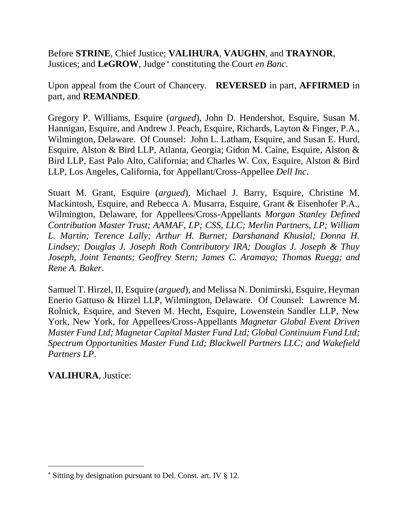Before **STRINE**, Chief Justice; **VALIHURA**, **VAUGHN**, and **TRAYNOR**, Justices; and LeGROW, Judge<sup>\*</sup> constituting the Court *en Banc*.

Upon appeal from the Court of Chancery. **REVERSED** in part, **AFFIRMED** in part, and **REMANDED**.

Gregory P. Williams, Esquire (*argued*), John D. Hendershot, Esquire, Susan M. Hannigan, Esquire, and Andrew J. Peach, Esquire, Richards, Layton & Finger, P.A., Wilmington, Delaware. Of Counsel: John L. Latham, Esquire, and Susan E. Hurd, Esquire, Alston & Bird LLP, Atlanta, Georgia; Gidon M. Caine, Esquire, Alston & Bird LLP, East Palo Alto, California; and Charles W. Cox, Esquire, Alston & Bird LLP, Los Angeles, California, for Appellant/Cross-Appellee *Dell Inc*.

Stuart M. Grant, Esquire (*argued*), Michael J. Barry, Esquire, Christine M. Mackintosh, Esquire, and Rebecca A. Musarra, Esquire, Grant & Eisenhofer P.A., Wilmington, Delaware, for Appellees/Cross-Appellants *Morgan Stanley Defined Contribution Master Trust; AAMAF, LP; CSS, LLC; Merlin Partners, LP; William L. Martin; Terence Lally; Arthur H. Burnet; Darshanand Khusial; Donna H. Lindsey; Douglas J. Joseph Roth Contributory IRA; Douglas J. Joseph & Thuy Joseph, Joint Tenants; Geoffrey Stern; James C. Aramayo; Thomas Ruegg; and Rene A. Baker*.

Samuel T. Hirzel, II, Esquire (*argued*), and Melissa N. Donimirski, Esquire, Heyman Enerio Gattuso & Hirzel LLP, Wilmington, Delaware. Of Counsel: Lawrence M. Rolnick, Esquire, and Steven M. Hecht, Esquire, Lowenstein Sandler LLP, New York, New York, for Appellees/Cross-Appellants *Magnetar Global Event Driven Master Fund Ltd; Magnetar Capital Master Fund Ltd; Global Continuum Fund Ltd; Spectrum Opportunities Master Fund Ltd; Blackwell Partners LLC; and Wakefield Partners LP*.

**VALIHURA**, Justice:

Sitting by designation pursuant to Del. Const. art. IV § 12.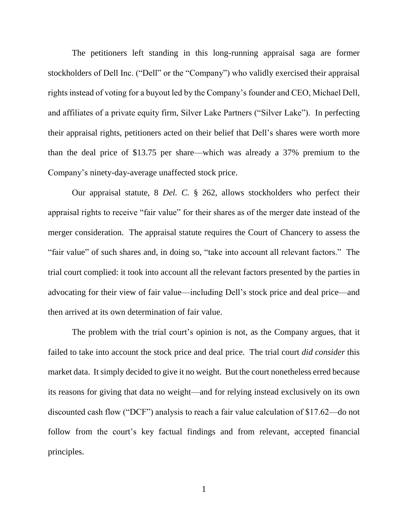The petitioners left standing in this long-running appraisal saga are former stockholders of Dell Inc. ("Dell" or the "Company") who validly exercised their appraisal rights instead of voting for a buyout led by the Company's founder and CEO, Michael Dell, and affiliates of a private equity firm, Silver Lake Partners ("Silver Lake"). In perfecting their appraisal rights, petitioners acted on their belief that Dell's shares were worth more than the deal price of \$13.75 per share—which was already a 37% premium to the Company's ninety-day-average unaffected stock price.

Our appraisal statute, 8 *Del. C.* § 262, allows stockholders who perfect their appraisal rights to receive "fair value" for their shares as of the merger date instead of the merger consideration. The appraisal statute requires the Court of Chancery to assess the "fair value" of such shares and, in doing so, "take into account all relevant factors." The trial court complied: it took into account all the relevant factors presented by the parties in advocating for their view of fair value—including Dell's stock price and deal price—and then arrived at its own determination of fair value.

The problem with the trial court's opinion is not, as the Company argues, that it failed to take into account the stock price and deal price. The trial court *did consider* this market data. It simply decided to give it no weight. But the court nonetheless erred because its reasons for giving that data no weight—and for relying instead exclusively on its own discounted cash flow ("DCF") analysis to reach a fair value calculation of \$17.62—do not follow from the court's key factual findings and from relevant, accepted financial principles.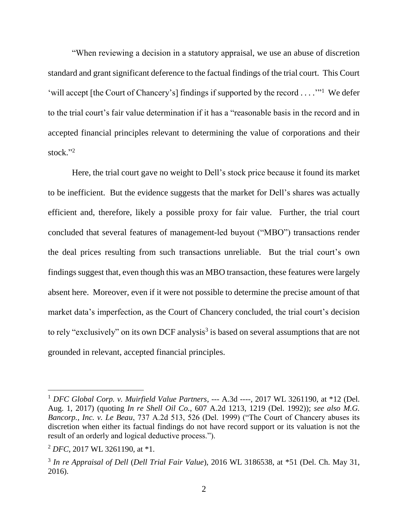"When reviewing a decision in a statutory appraisal, we use an abuse of discretion standard and grant significant deference to the factual findings of the trial court. This Court 'will accept [the Court of Chancery's] findings if supported by the record . . . .'"<sup>1</sup> We defer to the trial court's fair value determination if it has a "reasonable basis in the record and in accepted financial principles relevant to determining the value of corporations and their stock." 2

Here, the trial court gave no weight to Dell's stock price because it found its market to be inefficient. But the evidence suggests that the market for Dell's shares was actually efficient and, therefore, likely a possible proxy for fair value. Further, the trial court concluded that several features of management-led buyout ("MBO") transactions render the deal prices resulting from such transactions unreliable. But the trial court's own findings suggest that, even though this was an MBO transaction, these features were largely absent here. Moreover, even if it were not possible to determine the precise amount of that market data's imperfection, as the Court of Chancery concluded, the trial court's decision to rely "exclusively" on its own DCF analysis<sup>3</sup> is based on several assumptions that are not grounded in relevant, accepted financial principles.

<sup>1</sup> *DFC Global Corp. v. Muirfield Value Partners*, --- A.3d ----, 2017 WL 3261190, at \*12 (Del. Aug. 1, 2017) (quoting *In re Shell Oil Co.*, 607 A.2d 1213, 1219 (Del. 1992)); *see also M.G. Bancorp., Inc. v. Le Beau*, 737 A.2d 513, 526 (Del. 1999) ("The Court of Chancery abuses its discretion when either its factual findings do not have record support or its valuation is not the result of an orderly and logical deductive process.").

<sup>2</sup> *DFC*, 2017 WL 3261190, at \*1.

<sup>3</sup> *In re Appraisal of Dell* (*Dell Trial Fair Value*), 2016 WL 3186538, at \*51 (Del. Ch. May 31, 2016).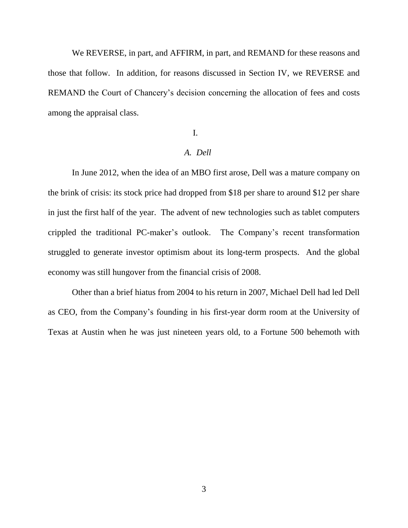We REVERSE, in part, and AFFIRM, in part, and REMAND for these reasons and those that follow. In addition, for reasons discussed in Section IV, we REVERSE and REMAND the Court of Chancery's decision concerning the allocation of fees and costs among the appraisal class.

### I.

## *A. Dell*

In June 2012, when the idea of an MBO first arose, Dell was a mature company on the brink of crisis: its stock price had dropped from \$18 per share to around \$12 per share in just the first half of the year. The advent of new technologies such as tablet computers crippled the traditional PC-maker's outlook. The Company's recent transformation struggled to generate investor optimism about its long-term prospects. And the global economy was still hungover from the financial crisis of 2008.

Other than a brief hiatus from 2004 to his return in 2007, Michael Dell had led Dell as CEO, from the Company's founding in his first-year dorm room at the University of Texas at Austin when he was just nineteen years old, to a Fortune 500 behemoth with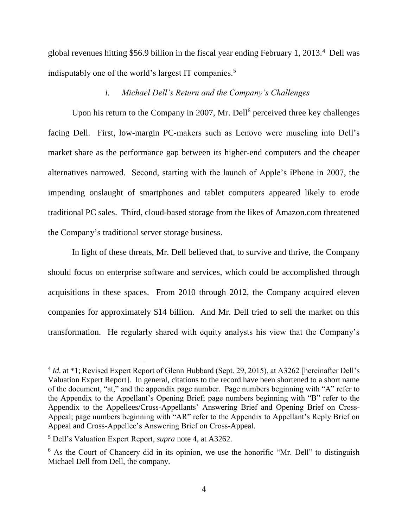global revenues hitting \$56.9 billion in the fiscal year ending February 1, 2013.<sup>4</sup> Dell was indisputably one of the world's largest IT companies.<sup>5</sup>

## *i. Michael Dell's Return and the Company's Challenges*

Upon his return to the Company in 2007, Mr. Dell<sup>6</sup> perceived three key challenges facing Dell. First, low-margin PC-makers such as Lenovo were muscling into Dell's market share as the performance gap between its higher-end computers and the cheaper alternatives narrowed. Second, starting with the launch of Apple's iPhone in 2007, the impending onslaught of smartphones and tablet computers appeared likely to erode traditional PC sales. Third, cloud-based storage from the likes of Amazon.com threatened the Company's traditional server storage business.

In light of these threats, Mr. Dell believed that, to survive and thrive, the Company should focus on enterprise software and services, which could be accomplished through acquisitions in these spaces. From 2010 through 2012, the Company acquired eleven companies for approximately \$14 billion. And Mr. Dell tried to sell the market on this transformation. He regularly shared with equity analysts his view that the Company's

<sup>&</sup>lt;sup>4</sup> *Id.* at \*1; Revised Expert Report of Glenn Hubbard (Sept. 29, 2015), at A3262 [hereinafter Dell's Valuation Expert Report]. In general, citations to the record have been shortened to a short name of the document, "at," and the appendix page number. Page numbers beginning with "A" refer to the Appendix to the Appellant's Opening Brief; page numbers beginning with "B" refer to the Appendix to the Appellees/Cross-Appellants' Answering Brief and Opening Brief on Cross-Appeal; page numbers beginning with "AR" refer to the Appendix to Appellant's Reply Brief on Appeal and Cross-Appellee's Answering Brief on Cross-Appeal.

<sup>5</sup> Dell's Valuation Expert Report, *supra* note 4, at A3262.

<sup>&</sup>lt;sup>6</sup> As the Court of Chancery did in its opinion, we use the honorific "Mr. Dell" to distinguish Michael Dell from Dell, the company.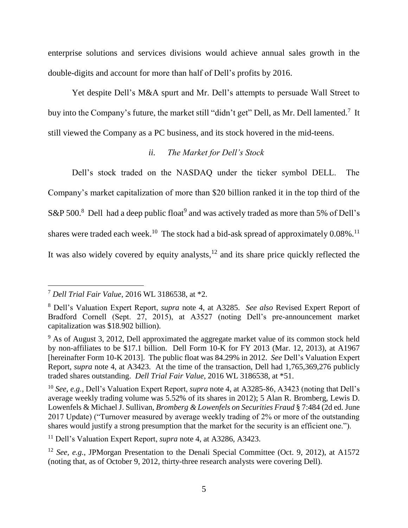enterprise solutions and services divisions would achieve annual sales growth in the double-digits and account for more than half of Dell's profits by 2016.

Yet despite Dell's M&A spurt and Mr. Dell's attempts to persuade Wall Street to buy into the Company's future, the market still "didn't get" Dell, as Mr. Dell lamented.<sup>7</sup> It still viewed the Company as a PC business, and its stock hovered in the mid-teens.

## *ii. The Market for Dell's Stock*

Dell's stock traded on the NASDAQ under the ticker symbol DELL. The Company's market capitalization of more than \$20 billion ranked it in the top third of the S&P 500.<sup>8</sup> Dell had a deep public float<sup>9</sup> and was actively traded as more than 5% of Dell's shares were traded each week.<sup>10</sup> The stock had a bid-ask spread of approximately  $0.08\%$ .<sup>11</sup> It was also widely covered by equity analysts, $12$  and its share price quickly reflected the

<sup>11</sup> Dell's Valuation Expert Report, *supra* note 4, at A3286, A3423.

<sup>7</sup> *Dell Trial Fair Value*, 2016 WL 3186538, at \*2.

<sup>8</sup> Dell's Valuation Expert Report, *supra* note 4, at A3285. *See also* Revised Expert Report of Bradford Cornell (Sept. 27, 2015), at A3527 (noting Dell's pre-announcement market capitalization was \$18.902 billion).

 $9$  As of August 3, 2012, Dell approximated the aggregate market value of its common stock held by non-affiliates to be \$17.1 billion. Dell Form 10-K for FY 2013 (Mar. 12, 2013), at A1967 [hereinafter Form 10-K 2013]. The public float was 84.29% in 2012. *See* Dell's Valuation Expert Report, *supra* note 4, at A3423. At the time of the transaction, Dell had 1,765,369,276 publicly traded shares outstanding. *Dell Trial Fair Value*, 2016 WL 3186538, at \*51.

<sup>10</sup> *See, e.g.*, Dell's Valuation Expert Report, *supra* note 4, at A3285-86, A3423 (noting that Dell's average weekly trading volume was 5.52% of its shares in 2012); 5 Alan R. Bromberg, Lewis D. Lowenfels & Michael J. Sullivan, *Bromberg & Lowenfels on Securities Fraud* § 7:484 (2d ed. June 2017 Update) ("Turnover measured by average weekly trading of 2% or more of the outstanding shares would justify a strong presumption that the market for the security is an efficient one.").

<sup>&</sup>lt;sup>12</sup> *See, e.g.*, JPMorgan Presentation to the Denali Special Committee (Oct. 9, 2012), at A1572 (noting that, as of October 9, 2012, thirty-three research analysts were covering Dell).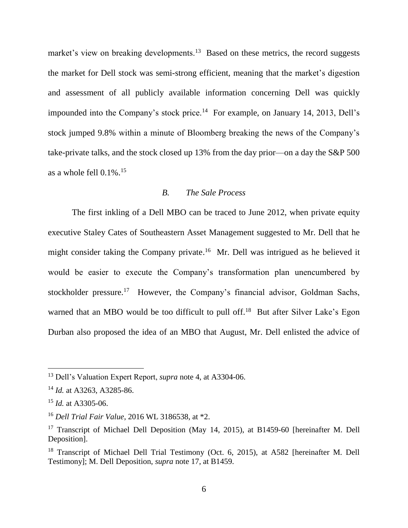market's view on breaking developments.<sup>13</sup> Based on these metrics, the record suggests the market for Dell stock was semi-strong efficient, meaning that the market's digestion and assessment of all publicly available information concerning Dell was quickly impounded into the Company's stock price.<sup>14</sup> For example, on January 14, 2013, Dell's stock jumped 9.8% within a minute of Bloomberg breaking the news of the Company's take-private talks, and the stock closed up 13% from the day prior—on a day the S&P 500 as a whole fell 0.1%. 15

## *B. The Sale Process*

The first inkling of a Dell MBO can be traced to June 2012, when private equity executive Staley Cates of Southeastern Asset Management suggested to Mr. Dell that he might consider taking the Company private.<sup>16</sup> Mr. Dell was intrigued as he believed it would be easier to execute the Company's transformation plan unencumbered by stockholder pressure.<sup>17</sup> However, the Company's financial advisor, Goldman Sachs, warned that an MBO would be too difficult to pull off.<sup>18</sup> But after Silver Lake's Egon Durban also proposed the idea of an MBO that August, Mr. Dell enlisted the advice of

<sup>13</sup> Dell's Valuation Expert Report, *supra* note 4, at A3304-06.

<sup>14</sup> *Id.* at A3263, A3285-86.

<sup>15</sup> *Id.* at A3305-06.

<sup>16</sup> *Dell Trial Fair Value*, 2016 WL 3186538, at \*2.

<sup>&</sup>lt;sup>17</sup> Transcript of Michael Dell Deposition (May 14, 2015), at B1459-60 [hereinafter M. Dell Deposition].

<sup>&</sup>lt;sup>18</sup> Transcript of Michael Dell Trial Testimony (Oct. 6, 2015), at A582 [hereinafter M. Dell Testimony]; M. Dell Deposition, *supra* note 17, at B1459.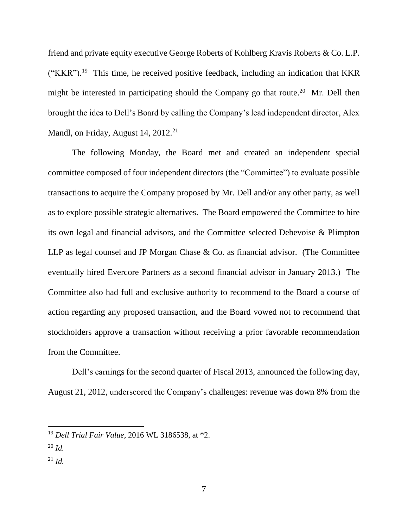friend and private equity executive George Roberts of Kohlberg Kravis Roberts & Co. L.P.  $("KKR")$ .<sup>19</sup> This time, he received positive feedback, including an indication that KKR might be interested in participating should the Company go that route.<sup>20</sup> Mr. Dell then brought the idea to Dell's Board by calling the Company's lead independent director, Alex Mandl, on Friday, August 14, 2012.<sup>21</sup>

The following Monday, the Board met and created an independent special committee composed of four independent directors (the "Committee") to evaluate possible transactions to acquire the Company proposed by Mr. Dell and/or any other party, as well as to explore possible strategic alternatives. The Board empowered the Committee to hire its own legal and financial advisors, and the Committee selected Debevoise & Plimpton LLP as legal counsel and JP Morgan Chase & Co. as financial advisor. (The Committee eventually hired Evercore Partners as a second financial advisor in January 2013.) The Committee also had full and exclusive authority to recommend to the Board a course of action regarding any proposed transaction, and the Board vowed not to recommend that stockholders approve a transaction without receiving a prior favorable recommendation from the Committee.

Dell's earnings for the second quarter of Fiscal 2013, announced the following day, August 21, 2012, underscored the Company's challenges: revenue was down 8% from the

<sup>20</sup> *Id.*

 $^{21}$  *Id.* 

<sup>19</sup> *Dell Trial Fair Value*, 2016 WL 3186538, at \*2.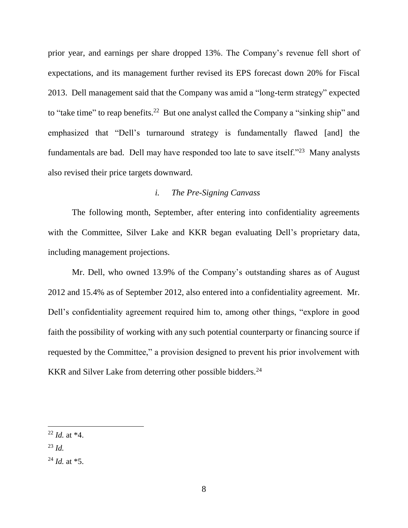prior year, and earnings per share dropped 13%. The Company's revenue fell short of expectations, and its management further revised its EPS forecast down 20% for Fiscal 2013. Dell management said that the Company was amid a "long-term strategy" expected to "take time" to reap benefits.<sup>22</sup> But one analyst called the Company a "sinking ship" and emphasized that "Dell's turnaround strategy is fundamentally flawed [and] the fundamentals are bad. Dell may have responded too late to save itself."<sup>23</sup> Many analysts also revised their price targets downward.

## *i. The Pre-Signing Canvass*

The following month, September, after entering into confidentiality agreements with the Committee, Silver Lake and KKR began evaluating Dell's proprietary data, including management projections.

Mr. Dell, who owned 13.9% of the Company's outstanding shares as of August 2012 and 15.4% as of September 2012, also entered into a confidentiality agreement. Mr. Dell's confidentiality agreement required him to, among other things, "explore in good faith the possibility of working with any such potential counterparty or financing source if requested by the Committee," a provision designed to prevent his prior involvement with KKR and Silver Lake from deterring other possible bidders.<sup>24</sup>

<sup>22</sup> *Id.* at \*4.

<sup>23</sup> *Id.*

<sup>24</sup> *Id.* at \*5.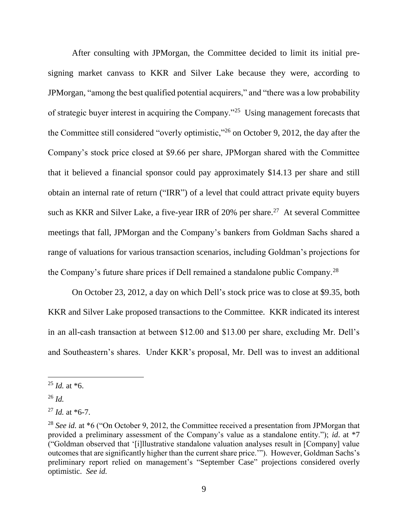After consulting with JPMorgan, the Committee decided to limit its initial presigning market canvass to KKR and Silver Lake because they were, according to JPMorgan, "among the best qualified potential acquirers," and "there was a low probability of strategic buyer interest in acquiring the Company."<sup>25</sup> Using management forecasts that the Committee still considered "overly optimistic,"<sup>26</sup> on October 9, 2012, the day after the Company's stock price closed at \$9.66 per share, JPMorgan shared with the Committee that it believed a financial sponsor could pay approximately \$14.13 per share and still obtain an internal rate of return ("IRR") of a level that could attract private equity buyers such as KKR and Silver Lake, a five-year IRR of  $20\%$  per share.<sup>27</sup> At several Committee meetings that fall, JPMorgan and the Company's bankers from Goldman Sachs shared a range of valuations for various transaction scenarios, including Goldman's projections for the Company's future share prices if Dell remained a standalone public Company.<sup>28</sup>

On October 23, 2012, a day on which Dell's stock price was to close at \$9.35, both KKR and Silver Lake proposed transactions to the Committee. KKR indicated its interest in an all-cash transaction at between \$12.00 and \$13.00 per share, excluding Mr. Dell's and Southeastern's shares. Under KKR's proposal, Mr. Dell was to invest an additional

 $^{25}$  *Id.* at  $*6$ .

<sup>26</sup> *Id.*

<sup>27</sup> *Id.* at \*6-7.

<sup>&</sup>lt;sup>28</sup> *See id.* at \*6 ("On October 9, 2012, the Committee received a presentation from JPMorgan that provided a preliminary assessment of the Company's value as a standalone entity."); *id*. at \*7 ("Goldman observed that '[i]llustrative standalone valuation analyses result in [Company] value outcomes that are significantly higher than the current share price.'"). However, Goldman Sachs's preliminary report relied on management's "September Case" projections considered overly optimistic. *See id.*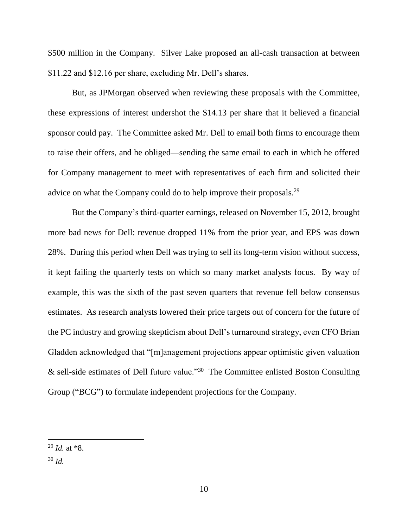\$500 million in the Company. Silver Lake proposed an all-cash transaction at between \$11.22 and \$12.16 per share, excluding Mr. Dell's shares.

But, as JPMorgan observed when reviewing these proposals with the Committee, these expressions of interest undershot the \$14.13 per share that it believed a financial sponsor could pay. The Committee asked Mr. Dell to email both firms to encourage them to raise their offers, and he obliged—sending the same email to each in which he offered for Company management to meet with representatives of each firm and solicited their advice on what the Company could do to help improve their proposals.<sup>29</sup>

But the Company's third-quarter earnings, released on November 15, 2012, brought more bad news for Dell: revenue dropped 11% from the prior year, and EPS was down 28%. During this period when Dell was trying to sell its long-term vision without success, it kept failing the quarterly tests on which so many market analysts focus. By way of example, this was the sixth of the past seven quarters that revenue fell below consensus estimates. As research analysts lowered their price targets out of concern for the future of the PC industry and growing skepticism about Dell's turnaround strategy, even CFO Brian Gladden acknowledged that "[m]anagement projections appear optimistic given valuation & sell-side estimates of Dell future value."<sup>30</sup> The Committee enlisted Boston Consulting Group ("BCG") to formulate independent projections for the Company.

<sup>30</sup> *Id.*

 <sup>29</sup> *Id.* at \*8.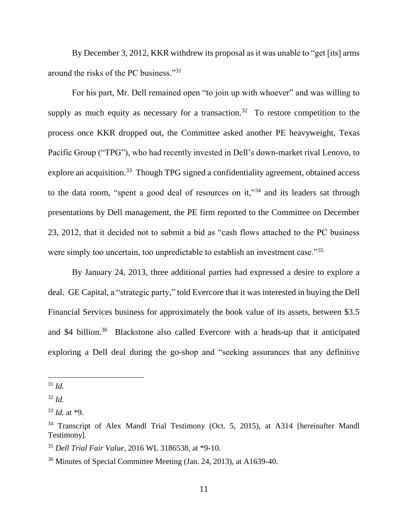By December 3, 2012, KKR withdrew its proposal as it was unable to "get [its] arms around the risks of the PC business."<sup>31</sup>

For his part, Mr. Dell remained open "to join up with whoever" and was willing to supply as much equity as necessary for a transaction.<sup>32</sup> To restore competition to the process once KKR dropped out, the Committee asked another PE heavyweight, Texas Pacific Group ("TPG"), who had recently invested in Dell's down-market rival Lenovo, to explore an acquisition.<sup>33</sup> Though TPG signed a confidentiality agreement, obtained access to the data room, "spent a good deal of resources on it,"<sup>34</sup> and its leaders sat through presentations by Dell management, the PE firm reported to the Committee on December 23, 2012, that it decided not to submit a bid as "cash flows attached to the PC business were simply too uncertain, too unpredictable to establish an investment case."<sup>35</sup>

By January 24, 2013, three additional parties had expressed a desire to explore a deal. GE Capital, a "strategic party," told Evercore that it was interested in buying the Dell Financial Services business for approximately the book value of its assets, between \$3.5 and \$4 billion.<sup>36</sup> Blackstone also called Evercore with a heads-up that it anticipated exploring a Dell deal during the go-shop and "seeking assurances that any definitive

<sup>31</sup> *Id.*

<sup>32</sup> *Id.*

<sup>33</sup> *Id.* at \*9.

<sup>&</sup>lt;sup>34</sup> Transcript of Alex Mandl Trial Testimony (Oct. 5, 2015), at A314 [hereinafter Mandl Testimony].

<sup>35</sup> *Dell Trial Fair Value*, 2016 WL 3186538, at \*9-10.

<sup>36</sup> Minutes of Special Committee Meeting (Jan. 24, 2013), at A1639-40.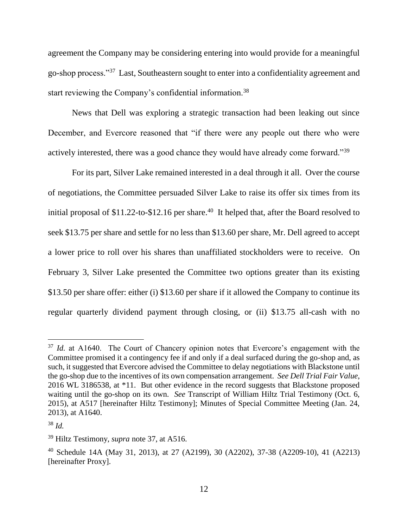agreement the Company may be considering entering into would provide for a meaningful go-shop process."<sup>37</sup> Last, Southeastern sought to enter into a confidentiality agreement and start reviewing the Company's confidential information.<sup>38</sup>

News that Dell was exploring a strategic transaction had been leaking out since December, and Evercore reasoned that "if there were any people out there who were actively interested, there was a good chance they would have already come forward."<sup>39</sup>

For its part, Silver Lake remained interested in a deal through it all. Over the course of negotiations, the Committee persuaded Silver Lake to raise its offer six times from its initial proposal of \$11.22-to-\$12.16 per share.<sup>40</sup> It helped that, after the Board resolved to seek \$13.75 per share and settle for no less than \$13.60 per share, Mr. Dell agreed to accept a lower price to roll over his shares than unaffiliated stockholders were to receive. On February 3, Silver Lake presented the Committee two options greater than its existing \$13.50 per share offer: either (i) \$13.60 per share if it allowed the Company to continue its regular quarterly dividend payment through closing, or (ii) \$13.75 all-cash with no

<sup>&</sup>lt;sup>37</sup> *Id.* at A1640. The Court of Chancery opinion notes that Evercore's engagement with the Committee promised it a contingency fee if and only if a deal surfaced during the go-shop and, as such, it suggested that Evercore advised the Committee to delay negotiations with Blackstone until the go-shop due to the incentives of its own compensation arrangement. *See Dell Trial Fair Value*, 2016 WL 3186538, at \*11. But other evidence in the record suggests that Blackstone proposed waiting until the go-shop on its own. *See* Transcript of William Hiltz Trial Testimony (Oct. 6, 2015), at A517 [hereinafter Hiltz Testimony]; Minutes of Special Committee Meeting (Jan. 24, 2013), at A1640.

<sup>38</sup> *Id.*

<sup>39</sup> Hiltz Testimony, *supra* note 37, at A516.

<sup>40</sup> Schedule 14A (May 31, 2013), at 27 (A2199), 30 (A2202), 37-38 (A2209-10), 41 (A2213) [hereinafter Proxy].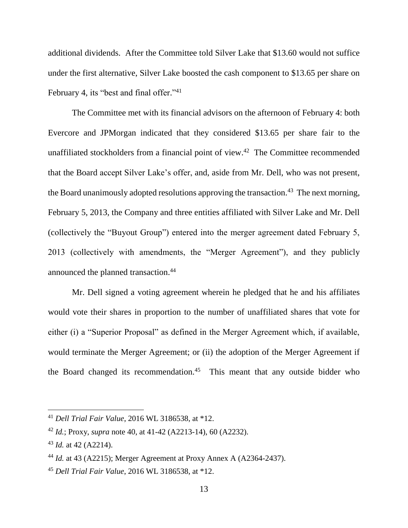additional dividends. After the Committee told Silver Lake that \$13.60 would not suffice under the first alternative, Silver Lake boosted the cash component to \$13.65 per share on February 4, its "best and final offer."<sup>41</sup>

The Committee met with its financial advisors on the afternoon of February 4: both Evercore and JPMorgan indicated that they considered \$13.65 per share fair to the unaffiliated stockholders from a financial point of view.<sup>42</sup> The Committee recommended that the Board accept Silver Lake's offer, and, aside from Mr. Dell, who was not present, the Board unanimously adopted resolutions approving the transaction.<sup>43</sup> The next morning, February 5, 2013, the Company and three entities affiliated with Silver Lake and Mr. Dell (collectively the "Buyout Group") entered into the merger agreement dated February 5, 2013 (collectively with amendments, the "Merger Agreement"), and they publicly announced the planned transaction.<sup>44</sup>

Mr. Dell signed a voting agreement wherein he pledged that he and his affiliates would vote their shares in proportion to the number of unaffiliated shares that vote for either (i) a "Superior Proposal" as defined in the Merger Agreement which, if available, would terminate the Merger Agreement; or (ii) the adoption of the Merger Agreement if the Board changed its recommendation.<sup>45</sup> This meant that any outside bidder who

<sup>41</sup> *Dell Trial Fair Value*, 2016 WL 3186538, at \*12.

<sup>42</sup> *Id.*; Proxy, *supra* note 40, at 41-42 (A2213-14), 60 (A2232).

<sup>43</sup> *Id.* at 42 (A2214).

<sup>44</sup> *Id.* at 43 (A2215); Merger Agreement at Proxy Annex A (A2364-2437).

<sup>45</sup> *Dell Trial Fair Value*, 2016 WL 3186538, at \*12.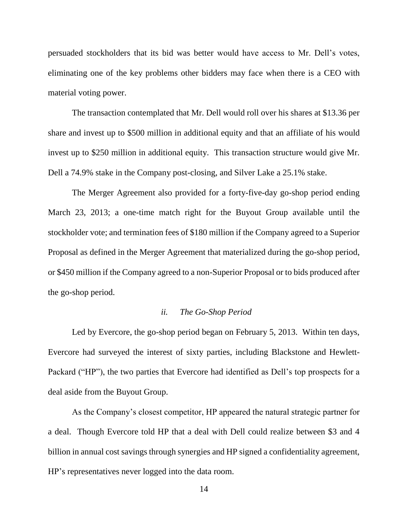persuaded stockholders that its bid was better would have access to Mr. Dell's votes, eliminating one of the key problems other bidders may face when there is a CEO with material voting power.

The transaction contemplated that Mr. Dell would roll over his shares at \$13.36 per share and invest up to \$500 million in additional equity and that an affiliate of his would invest up to \$250 million in additional equity. This transaction structure would give Mr. Dell a 74.9% stake in the Company post-closing, and Silver Lake a 25.1% stake.

The Merger Agreement also provided for a forty-five-day go-shop period ending March 23, 2013; a one-time match right for the Buyout Group available until the stockholder vote; and termination fees of \$180 million if the Company agreed to a Superior Proposal as defined in the Merger Agreement that materialized during the go-shop period, or \$450 million if the Company agreed to a non-Superior Proposal or to bids produced after the go-shop period.

## *ii. The Go-Shop Period*

Led by Evercore, the go-shop period began on February 5, 2013. Within ten days, Evercore had surveyed the interest of sixty parties, including Blackstone and Hewlett-Packard ("HP"), the two parties that Evercore had identified as Dell's top prospects for a deal aside from the Buyout Group.

As the Company's closest competitor, HP appeared the natural strategic partner for a deal. Though Evercore told HP that a deal with Dell could realize between \$3 and 4 billion in annual cost savings through synergies and HP signed a confidentiality agreement, HP's representatives never logged into the data room.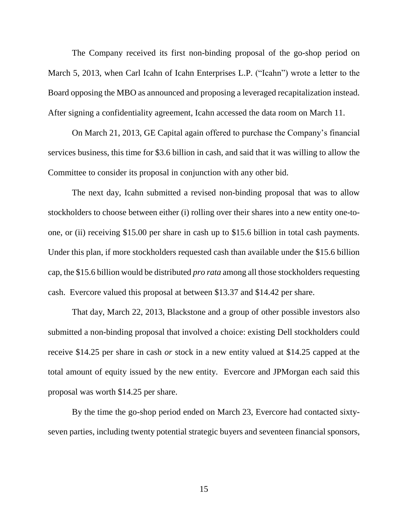The Company received its first non-binding proposal of the go-shop period on March 5, 2013, when Carl Icahn of Icahn Enterprises L.P. ("Icahn") wrote a letter to the Board opposing the MBO as announced and proposing a leveraged recapitalization instead. After signing a confidentiality agreement, Icahn accessed the data room on March 11.

On March 21, 2013, GE Capital again offered to purchase the Company's financial services business, this time for \$3.6 billion in cash, and said that it was willing to allow the Committee to consider its proposal in conjunction with any other bid.

The next day, Icahn submitted a revised non-binding proposal that was to allow stockholders to choose between either (i) rolling over their shares into a new entity one-toone, or (ii) receiving \$15.00 per share in cash up to \$15.6 billion in total cash payments. Under this plan, if more stockholders requested cash than available under the \$15.6 billion cap, the \$15.6 billion would be distributed *pro rata* among all those stockholders requesting cash. Evercore valued this proposal at between \$13.37 and \$14.42 per share.

That day, March 22, 2013, Blackstone and a group of other possible investors also submitted a non-binding proposal that involved a choice: existing Dell stockholders could receive \$14.25 per share in cash *or* stock in a new entity valued at \$14.25 capped at the total amount of equity issued by the new entity. Evercore and JPMorgan each said this proposal was worth \$14.25 per share.

By the time the go-shop period ended on March 23, Evercore had contacted sixtyseven parties, including twenty potential strategic buyers and seventeen financial sponsors,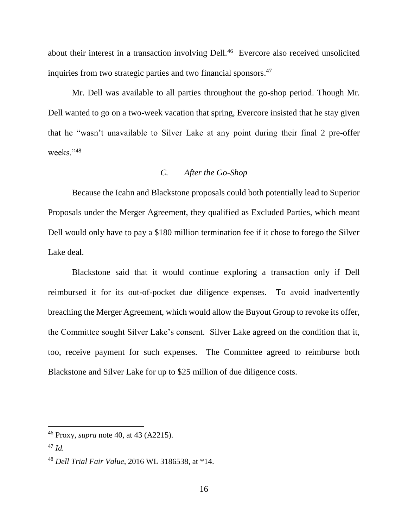about their interest in a transaction involving Dell.<sup>46</sup> Evercore also received unsolicited inquiries from two strategic parties and two financial sponsors. 47

Mr. Dell was available to all parties throughout the go-shop period. Though Mr. Dell wanted to go on a two-week vacation that spring, Evercore insisted that he stay given that he "wasn't unavailable to Silver Lake at any point during their final 2 pre-offer weeks."<sup>48</sup>

# *C. After the Go-Shop*

Because the Icahn and Blackstone proposals could both potentially lead to Superior Proposals under the Merger Agreement, they qualified as Excluded Parties, which meant Dell would only have to pay a \$180 million termination fee if it chose to forego the Silver Lake deal.

Blackstone said that it would continue exploring a transaction only if Dell reimbursed it for its out-of-pocket due diligence expenses. To avoid inadvertently breaching the Merger Agreement, which would allow the Buyout Group to revoke its offer, the Committee sought Silver Lake's consent. Silver Lake agreed on the condition that it, too, receive payment for such expenses. The Committee agreed to reimburse both Blackstone and Silver Lake for up to \$25 million of due diligence costs.

<sup>46</sup> Proxy, *supra* note 40, at 43 (A2215).

<sup>47</sup> *Id.*

<sup>48</sup> *Dell Trial Fair Value*, 2016 WL 3186538, at \*14.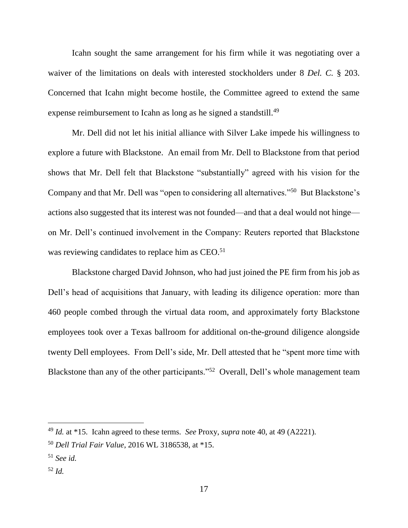Icahn sought the same arrangement for his firm while it was negotiating over a waiver of the limitations on deals with interested stockholders under 8 *Del. C.* § 203. Concerned that Icahn might become hostile, the Committee agreed to extend the same expense reimbursement to Icahn as long as he signed a standstill.<sup>49</sup>

Mr. Dell did not let his initial alliance with Silver Lake impede his willingness to explore a future with Blackstone. An email from Mr. Dell to Blackstone from that period shows that Mr. Dell felt that Blackstone "substantially" agreed with his vision for the Company and that Mr. Dell was "open to considering all alternatives."<sup>50</sup> But Blackstone's actions also suggested that its interest was not founded—and that a deal would not hinge on Mr. Dell's continued involvement in the Company: Reuters reported that Blackstone was reviewing candidates to replace him as CEO.<sup>51</sup>

Blackstone charged David Johnson, who had just joined the PE firm from his job as Dell's head of acquisitions that January, with leading its diligence operation: more than 460 people combed through the virtual data room, and approximately forty Blackstone employees took over a Texas ballroom for additional on-the-ground diligence alongside twenty Dell employees. From Dell's side, Mr. Dell attested that he "spent more time with Blackstone than any of the other participants."<sup>52</sup> Overall, Dell's whole management team

<sup>49</sup> *Id.* at \*15. Icahn agreed to these terms. *See* Proxy, *supra* note 40, at 49 (A2221).

<sup>50</sup> *Dell Trial Fair Value*, 2016 WL 3186538, at \*15.

<sup>51</sup> *See id.*

<sup>52</sup> *Id.*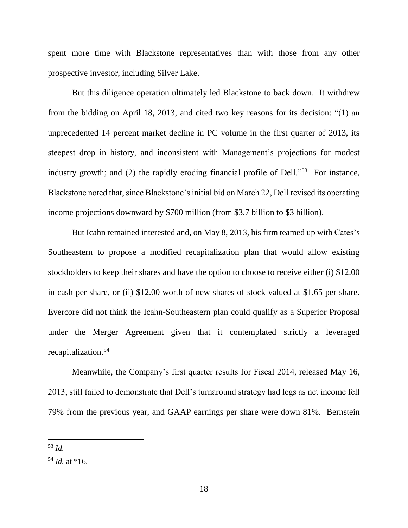spent more time with Blackstone representatives than with those from any other prospective investor, including Silver Lake.

But this diligence operation ultimately led Blackstone to back down.It withdrew from the bidding on April 18, 2013, and cited two key reasons for its decision: "(1) an unprecedented 14 percent market decline in PC volume in the first quarter of 2013, its steepest drop in history, and inconsistent with Management's projections for modest industry growth; and (2) the rapidly eroding financial profile of Dell."<sup>53</sup> For instance, Blackstone noted that, since Blackstone's initial bid on March 22, Dell revised its operating income projections downward by \$700 million (from \$3.7 billion to \$3 billion).

But Icahn remained interested and, on May 8, 2013, his firm teamed up with Cates's Southeastern to propose a modified recapitalization plan that would allow existing stockholders to keep their shares and have the option to choose to receive either (i) \$12.00 in cash per share, or (ii) \$12.00 worth of new shares of stock valued at \$1.65 per share. Evercore did not think the Icahn-Southeastern plan could qualify as a Superior Proposal under the Merger Agreement given that it contemplated strictly a leveraged recapitalization.<sup>54</sup>

Meanwhile, the Company's first quarter results for Fiscal 2014, released May 16, 2013, still failed to demonstrate that Dell's turnaround strategy had legs as net income fell 79% from the previous year, and GAAP earnings per share were down 81%. Bernstein

<sup>53</sup> *Id.*

 $54$  *Id.* at \*16.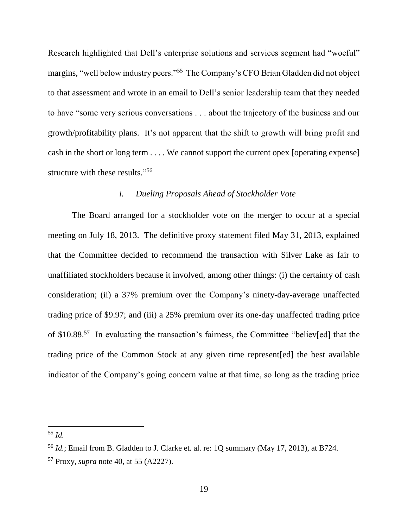Research highlighted that Dell's enterprise solutions and services segment had "woeful" margins, "well below industry peers."<sup>55</sup> The Company's CFO Brian Gladden did not object to that assessment and wrote in an email to Dell's senior leadership team that they needed to have "some very serious conversations . . . about the trajectory of the business and our growth/profitability plans. It's not apparent that the shift to growth will bring profit and cash in the short or long term . . . . We cannot support the current opex [operating expense] structure with these results."<sup>56</sup>

## *i. Dueling Proposals Ahead of Stockholder Vote*

The Board arranged for a stockholder vote on the merger to occur at a special meeting on July 18, 2013. The definitive proxy statement filed May 31, 2013, explained that the Committee decided to recommend the transaction with Silver Lake as fair to unaffiliated stockholders because it involved, among other things: (i) the certainty of cash consideration; (ii) a 37% premium over the Company's ninety-day-average unaffected trading price of \$9.97; and (iii) a 25% premium over its one-day unaffected trading price of \$10.88.<sup>57</sup> In evaluating the transaction's fairness, the Committee "believ[ed] that the trading price of the Common Stock at any given time represent[ed] the best available indicator of the Company's going concern value at that time, so long as the trading price

<sup>55</sup> *Id.*

<sup>56</sup> *Id.*; Email from B. Gladden to J. Clarke et. al. re: 1Q summary (May 17, 2013), at B724.

<sup>57</sup> Proxy, *supra* note 40, at 55 (A2227).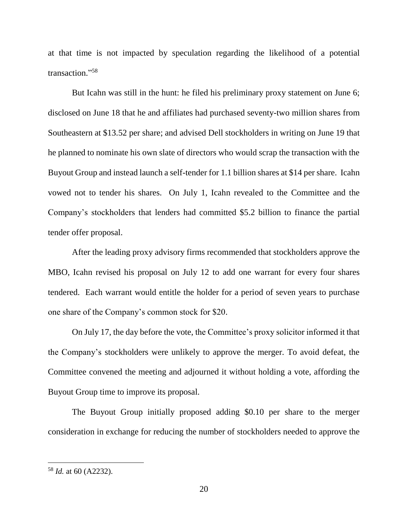at that time is not impacted by speculation regarding the likelihood of a potential transaction." 58

But Icahn was still in the hunt: he filed his preliminary proxy statement on June 6; disclosed on June 18 that he and affiliates had purchased seventy-two million shares from Southeastern at \$13.52 per share; and advised Dell stockholders in writing on June 19 that he planned to nominate his own slate of directors who would scrap the transaction with the Buyout Group and instead launch a self-tender for 1.1 billion shares at \$14 per share. Icahn vowed not to tender his shares. On July 1, Icahn revealed to the Committee and the Company's stockholders that lenders had committed \$5.2 billion to finance the partial tender offer proposal.

After the leading proxy advisory firms recommended that stockholders approve the MBO, Icahn revised his proposal on July 12 to add one warrant for every four shares tendered. Each warrant would entitle the holder for a period of seven years to purchase one share of the Company's common stock for \$20.

On July 17, the day before the vote, the Committee's proxy solicitor informed it that the Company's stockholders were unlikely to approve the merger. To avoid defeat, the Committee convened the meeting and adjourned it without holding a vote, affording the Buyout Group time to improve its proposal.

The Buyout Group initially proposed adding \$0.10 per share to the merger consideration in exchange for reducing the number of stockholders needed to approve the

<sup>58</sup> *Id.* at 60 (A2232).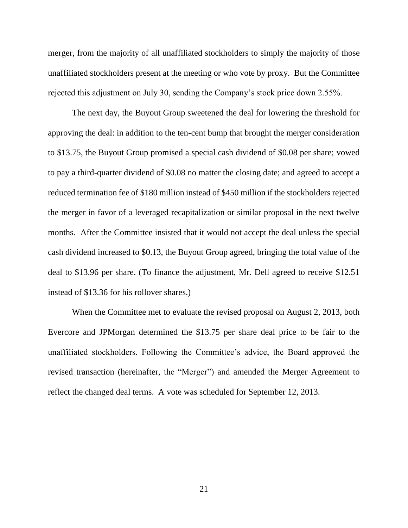merger, from the majority of all unaffiliated stockholders to simply the majority of those unaffiliated stockholders present at the meeting or who vote by proxy. But the Committee rejected this adjustment on July 30, sending the Company's stock price down 2.55%.

The next day, the Buyout Group sweetened the deal for lowering the threshold for approving the deal: in addition to the ten-cent bump that brought the merger consideration to \$13.75, the Buyout Group promised a special cash dividend of \$0.08 per share; vowed to pay a third-quarter dividend of \$0.08 no matter the closing date; and agreed to accept a reduced termination fee of \$180 million instead of \$450 million if the stockholders rejected the merger in favor of a leveraged recapitalization or similar proposal in the next twelve months. After the Committee insisted that it would not accept the deal unless the special cash dividend increased to \$0.13, the Buyout Group agreed, bringing the total value of the deal to \$13.96 per share. (To finance the adjustment, Mr. Dell agreed to receive \$12.51 instead of \$13.36 for his rollover shares.)

When the Committee met to evaluate the revised proposal on August 2, 2013, both Evercore and JPMorgan determined the \$13.75 per share deal price to be fair to the unaffiliated stockholders. Following the Committee's advice, the Board approved the revised transaction (hereinafter, the "Merger") and amended the Merger Agreement to reflect the changed deal terms. A vote was scheduled for September 12, 2013.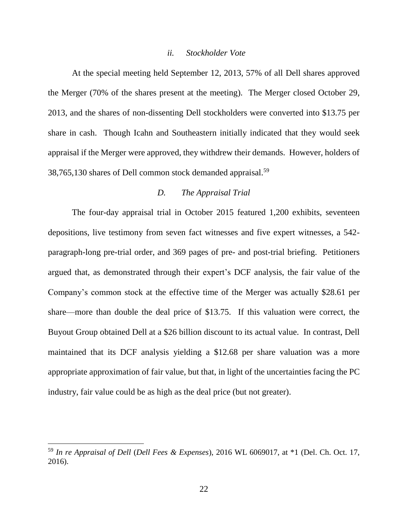#### *ii. Stockholder Vote*

At the special meeting held September 12, 2013, 57% of all Dell shares approved the Merger (70% of the shares present at the meeting). The Merger closed October 29, 2013, and the shares of non-dissenting Dell stockholders were converted into \$13.75 per share in cash. Though Icahn and Southeastern initially indicated that they would seek appraisal if the Merger were approved, they withdrew their demands. However, holders of 38,765,130 shares of Dell common stock demanded appraisal.<sup>59</sup>

# *D. The Appraisal Trial*

The four-day appraisal trial in October 2015 featured 1,200 exhibits, seventeen depositions, live testimony from seven fact witnesses and five expert witnesses, a 542 paragraph-long pre-trial order, and 369 pages of pre- and post-trial briefing. Petitioners argued that, as demonstrated through their expert's DCF analysis, the fair value of the Company's common stock at the effective time of the Merger was actually \$28.61 per share—more than double the deal price of \$13.75. If this valuation were correct, the Buyout Group obtained Dell at a \$26 billion discount to its actual value. In contrast, Dell maintained that its DCF analysis yielding a \$12.68 per share valuation was a more appropriate approximation of fair value, but that, in light of the uncertainties facing the PC industry, fair value could be as high as the deal price (but not greater).

<sup>59</sup> *In re Appraisal of Dell* (*Dell Fees & Expenses*), 2016 WL 6069017, at \*1 (Del. Ch. Oct. 17, 2016).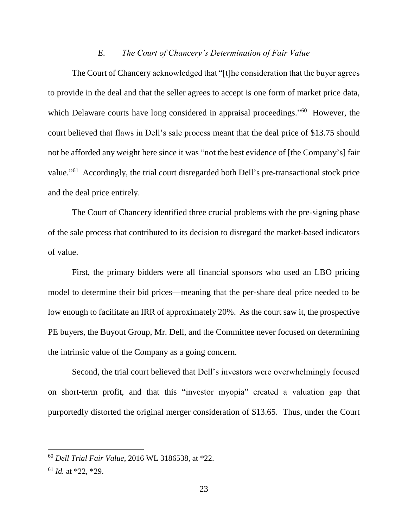### *E. The Court of Chancery's Determination of Fair Value*

The Court of Chancery acknowledged that "[t]he consideration that the buyer agrees to provide in the deal and that the seller agrees to accept is one form of market price data, which Delaware courts have long considered in appraisal proceedings."<sup>60</sup> However, the court believed that flaws in Dell's sale process meant that the deal price of \$13.75 should not be afforded any weight here since it was "not the best evidence of [the Company's] fair value."<sup>61</sup> Accordingly, the trial court disregarded both Dell's pre-transactional stock price and the deal price entirely.

The Court of Chancery identified three crucial problems with the pre-signing phase of the sale process that contributed to its decision to disregard the market-based indicators of value.

First, the primary bidders were all financial sponsors who used an LBO pricing model to determine their bid prices—meaning that the per-share deal price needed to be low enough to facilitate an IRR of approximately 20%. As the court saw it, the prospective PE buyers, the Buyout Group, Mr. Dell, and the Committee never focused on determining the intrinsic value of the Company as a going concern.

Second, the trial court believed that Dell's investors were overwhelmingly focused on short-term profit, and that this "investor myopia" created a valuation gap that purportedly distorted the original merger consideration of \$13.65. Thus, under the Court

<sup>60</sup> *Dell Trial Fair Value*, 2016 WL 3186538, at \*22.

<sup>61</sup> *Id.* at \*22, \*29.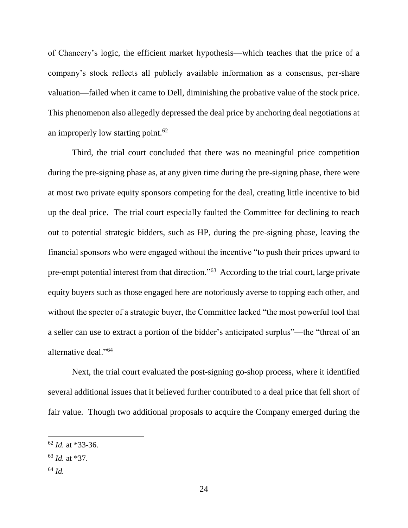of Chancery's logic, the efficient market hypothesis—which teaches that the price of a company's stock reflects all publicly available information as a consensus, per-share valuation—failed when it came to Dell, diminishing the probative value of the stock price. This phenomenon also allegedly depressed the deal price by anchoring deal negotiations at an improperly low starting point. $62$ 

Third, the trial court concluded that there was no meaningful price competition during the pre-signing phase as, at any given time during the pre-signing phase, there were at most two private equity sponsors competing for the deal, creating little incentive to bid up the deal price. The trial court especially faulted the Committee for declining to reach out to potential strategic bidders, such as HP, during the pre-signing phase, leaving the financial sponsors who were engaged without the incentive "to push their prices upward to pre-empt potential interest from that direction."<sup>63</sup> According to the trial court, large private equity buyers such as those engaged here are notoriously averse to topping each other, and without the specter of a strategic buyer, the Committee lacked "the most powerful tool that a seller can use to extract a portion of the bidder's anticipated surplus"—the "threat of an alternative deal."<sup>64</sup>

Next, the trial court evaluated the post-signing go-shop process, where it identified several additional issues that it believed further contributed to a deal price that fell short of fair value. Though two additional proposals to acquire the Company emerged during the

<sup>62</sup> *Id.* at \*33-36.

<sup>63</sup> *Id.* at \*37.

<sup>64</sup> *Id.*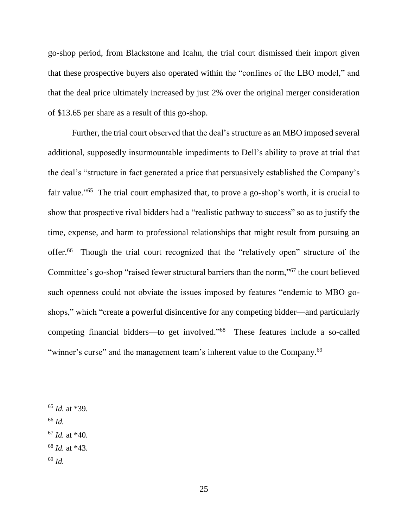go-shop period, from Blackstone and Icahn, the trial court dismissed their import given that these prospective buyers also operated within the "confines of the LBO model," and that the deal price ultimately increased by just 2% over the original merger consideration of \$13.65 per share as a result of this go-shop.

Further, the trial court observed that the deal's structure as an MBO imposed several additional, supposedly insurmountable impediments to Dell's ability to prove at trial that the deal's "structure in fact generated a price that persuasively established the Company's fair value."<sup>65</sup> The trial court emphasized that, to prove a go-shop's worth, it is crucial to show that prospective rival bidders had a "realistic pathway to success" so as to justify the time, expense, and harm to professional relationships that might result from pursuing an offer.<sup>66</sup> Though the trial court recognized that the "relatively open" structure of the Committee's go-shop "raised fewer structural barriers than the norm,"<sup>67</sup> the court believed such openness could not obviate the issues imposed by features "endemic to MBO goshops," which "create a powerful disincentive for any competing bidder—and particularly competing financial bidders—to get involved." <sup>68</sup> These features include a so-called "winner's curse" and the management team's inherent value to the Company.<sup>69</sup>

<sup>66</sup> *Id.*

- <sup>68</sup> *Id.* at \*43.
- <sup>69</sup> *Id.*

<sup>65</sup> *Id.* at \*39.

<sup>67</sup> *Id.* at \*40.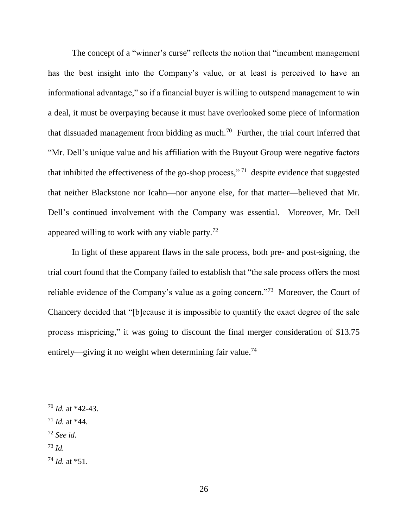The concept of a "winner's curse" reflects the notion that "incumbent management has the best insight into the Company's value, or at least is perceived to have an informational advantage," so if a financial buyer is willing to outspend management to win a deal, it must be overpaying because it must have overlooked some piece of information that dissuaded management from bidding as much.<sup>70</sup> Further, the trial court inferred that "Mr. Dell's unique value and his affiliation with the Buyout Group were negative factors that inhibited the effectiveness of the go-shop process,"<sup>71</sup> despite evidence that suggested that neither Blackstone nor Icahn—nor anyone else, for that matter—believed that Mr. Dell's continued involvement with the Company was essential. Moreover, Mr. Dell appeared willing to work with any viable party.<sup>72</sup>

In light of these apparent flaws in the sale process, both pre- and post-signing, the trial court found that the Company failed to establish that "the sale process offers the most reliable evidence of the Company's value as a going concern."<sup>73</sup> Moreover, the Court of Chancery decided that "[b]ecause it is impossible to quantify the exact degree of the sale process mispricing," it was going to discount the final merger consideration of \$13.75 entirely—giving it no weight when determining fair value.<sup>74</sup>

- <sup>72</sup> *See id.*
- <sup>73</sup> *Id.*

<sup>70</sup> *Id.* at \*42-43.

 $71$  *Id.* at \*44.

 $^{74}$  *Id.* at  $*51$ .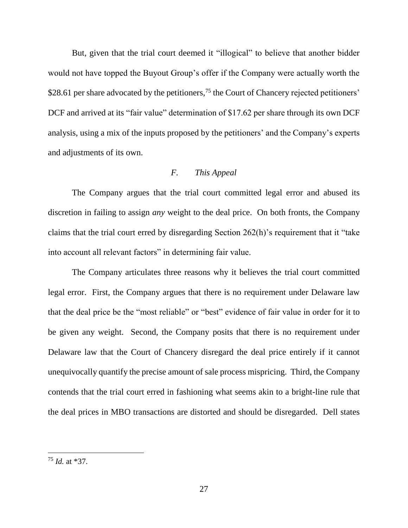But, given that the trial court deemed it "illogical" to believe that another bidder would not have topped the Buyout Group's offer if the Company were actually worth the \$28.61 per share advocated by the petitioners,<sup>75</sup> the Court of Chancery rejected petitioners' DCF and arrived at its "fair value" determination of \$17.62 per share through its own DCF analysis, using a mix of the inputs proposed by the petitioners' and the Company's experts and adjustments of its own.

# *F. This Appeal*

The Company argues that the trial court committed legal error and abused its discretion in failing to assign *any* weight to the deal price. On both fronts, the Company claims that the trial court erred by disregarding Section 262(h)'s requirement that it "take into account all relevant factors" in determining fair value.

The Company articulates three reasons why it believes the trial court committed legal error. First, the Company argues that there is no requirement under Delaware law that the deal price be the "most reliable" or "best" evidence of fair value in order for it to be given any weight. Second, the Company posits that there is no requirement under Delaware law that the Court of Chancery disregard the deal price entirely if it cannot unequivocally quantify the precise amount of sale process mispricing. Third, the Company contends that the trial court erred in fashioning what seems akin to a bright-line rule that the deal prices in MBO transactions are distorted and should be disregarded. Dell states

<sup>75</sup> *Id.* at \*37.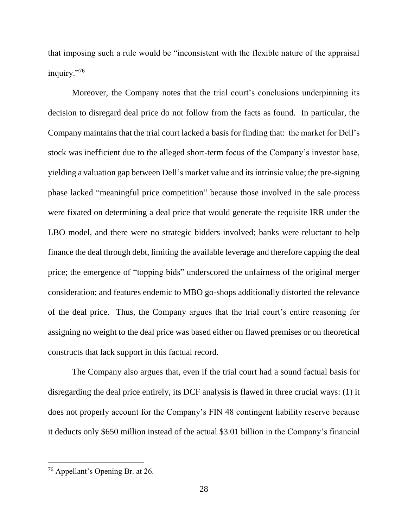that imposing such a rule would be "inconsistent with the flexible nature of the appraisal inquiry."<sup>76</sup>

Moreover, the Company notes that the trial court's conclusions underpinning its decision to disregard deal price do not follow from the facts as found. In particular, the Company maintains that the trial court lacked a basis for finding that: the market for Dell's stock was inefficient due to the alleged short-term focus of the Company's investor base, yielding a valuation gap between Dell's market value and its intrinsic value; the pre-signing phase lacked "meaningful price competition" because those involved in the sale process were fixated on determining a deal price that would generate the requisite IRR under the LBO model, and there were no strategic bidders involved; banks were reluctant to help finance the deal through debt, limiting the available leverage and therefore capping the deal price; the emergence of "topping bids" underscored the unfairness of the original merger consideration; and features endemic to MBO go-shops additionally distorted the relevance of the deal price. Thus, the Company argues that the trial court's entire reasoning for assigning no weight to the deal price was based either on flawed premises or on theoretical constructs that lack support in this factual record.

The Company also argues that, even if the trial court had a sound factual basis for disregarding the deal price entirely, its DCF analysis is flawed in three crucial ways: (1) it does not properly account for the Company's FIN 48 contingent liability reserve because it deducts only \$650 million instead of the actual \$3.01 billion in the Company's financial

<sup>&</sup>lt;sup>76</sup> Appellant's Opening Br. at 26.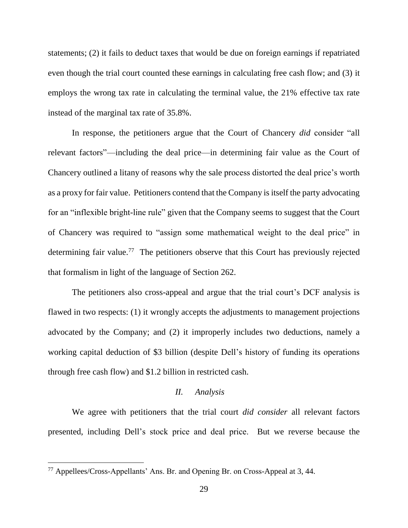statements; (2) it fails to deduct taxes that would be due on foreign earnings if repatriated even though the trial court counted these earnings in calculating free cash flow; and (3) it employs the wrong tax rate in calculating the terminal value, the 21% effective tax rate instead of the marginal tax rate of 35.8%.

In response, the petitioners argue that the Court of Chancery *did* consider "all relevant factors"—including the deal price—in determining fair value as the Court of Chancery outlined a litany of reasons why the sale process distorted the deal price's worth as a proxy for fair value. Petitioners contend that the Company is itself the party advocating for an "inflexible bright-line rule" given that the Company seems to suggest that the Court of Chancery was required to "assign some mathematical weight to the deal price" in determining fair value.<sup>77</sup> The petitioners observe that this Court has previously rejected that formalism in light of the language of Section 262.

The petitioners also cross-appeal and argue that the trial court's DCF analysis is flawed in two respects: (1) it wrongly accepts the adjustments to management projections advocated by the Company; and (2) it improperly includes two deductions, namely a working capital deduction of \$3 billion (despite Dell's history of funding its operations through free cash flow) and \$1.2 billion in restricted cash.

## *II. Analysis*

We agree with petitioners that the trial court *did consider* all relevant factors presented, including Dell's stock price and deal price. But we reverse because the

 $77$  Appellees/Cross-Appellants' Ans. Br. and Opening Br. on Cross-Appeal at 3, 44.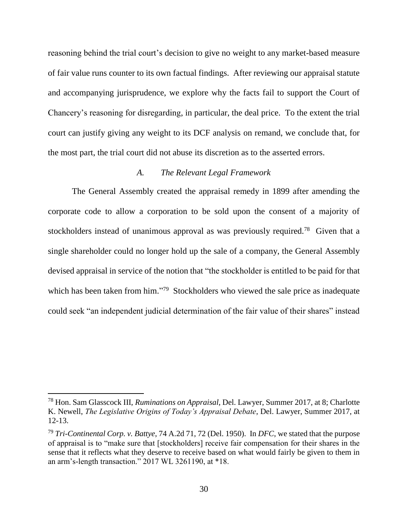reasoning behind the trial court's decision to give no weight to any market-based measure of fair value runs counter to its own factual findings.After reviewing our appraisal statute and accompanying jurisprudence, we explore why the facts fail to support the Court of Chancery's reasoning for disregarding, in particular, the deal price. To the extent the trial court can justify giving any weight to its DCF analysis on remand, we conclude that, for the most part, the trial court did not abuse its discretion as to the asserted errors.

## *A. The Relevant Legal Framework*

The General Assembly created the appraisal remedy in 1899 after amending the corporate code to allow a corporation to be sold upon the consent of a majority of stockholders instead of unanimous approval as was previously required.<sup>78</sup> Given that a single shareholder could no longer hold up the sale of a company, the General Assembly devised appraisal in service of the notion that "the stockholder is entitled to be paid for that which has been taken from him."<sup>79</sup> Stockholders who viewed the sale price as inadequate could seek "an independent judicial determination of the fair value of their shares" instead

<sup>78</sup> Hon. Sam Glasscock III, *Ruminations on Appraisal*, Del. Lawyer, Summer 2017, at 8; Charlotte K. Newell, *The Legislative Origins of Today's Appraisal Debate*, Del. Lawyer, Summer 2017, at 12-13.

<sup>79</sup> *Tri-Continental Corp. v. Battye*, 74 A.2d 71, 72 (Del. 1950). In *DFC*, we stated that the purpose of appraisal is to "make sure that [stockholders] receive fair compensation for their shares in the sense that it reflects what they deserve to receive based on what would fairly be given to them in an arm's-length transaction." 2017 WL 3261190, at \*18.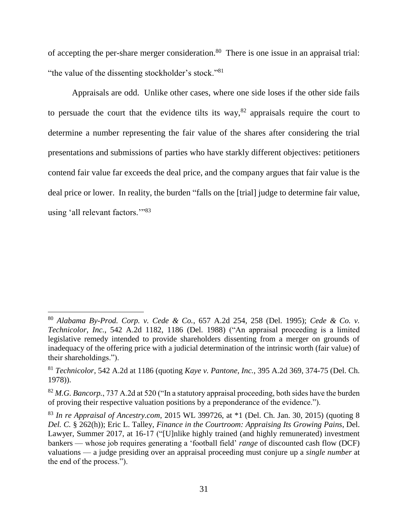of accepting the per-share merger consideration.<sup>80</sup> There is one issue in an appraisal trial: "the value of the dissenting stockholder's stock."<sup>81</sup>

Appraisals are odd. Unlike other cases, where one side loses if the other side fails to persuade the court that the evidence tilts its way,  $82$  appraisals require the court to determine a number representing the fair value of the shares after considering the trial presentations and submissions of parties who have starkly different objectives: petitioners contend fair value far exceeds the deal price, and the company argues that fair value is the deal price or lower. In reality, the burden "falls on the [trial] judge to determine fair value, using 'all relevant factors.'"<sup>83</sup>

<sup>80</sup> *Alabama By-Prod. Corp. v. Cede & Co.*, 657 A.2d 254, 258 (Del. 1995); *Cede & Co. v. Technicolor, Inc.*, 542 A.2d 1182, 1186 (Del. 1988) ("An appraisal proceeding is a limited legislative remedy intended to provide shareholders dissenting from a merger on grounds of inadequacy of the offering price with a judicial determination of the intrinsic worth (fair value) of their shareholdings.").

<sup>81</sup> *Technicolor*, 542 A.2d at 1186 (quoting *Kaye v. Pantone, Inc.*, 395 A.2d 369, 374-75 (Del. Ch. 1978)).

<sup>82</sup> *M.G. Bancorp.*, 737 A.2d at 520 ("In a statutory appraisal proceeding, both sides have the burden of proving their respective valuation positions by a preponderance of the evidence.").

<sup>83</sup> *In re Appraisal of Ancestry.com*, 2015 WL 399726, at \*1 (Del. Ch. Jan. 30, 2015) (quoting 8 *Del. C.* § 262(h)); Eric L. Talley, *Finance in the Courtroom: Appraising Its Growing Pains*, Del. Lawyer, Summer 2017, at 16-17 ("[U]nlike highly trained (and highly remunerated) investment bankers — whose job requires generating a 'football field' *range* of discounted cash flow (DCF) valuations — a judge presiding over an appraisal proceeding must conjure up a *single number* at the end of the process.").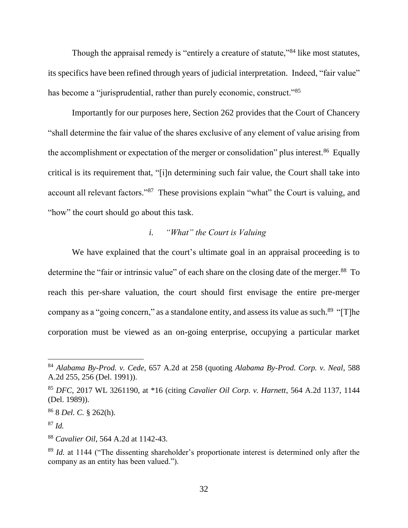Though the appraisal remedy is "entirely a creature of statute,"<sup>84</sup> like most statutes, its specifics have been refined through years of judicial interpretation. Indeed, "fair value" has become a "jurisprudential, rather than purely economic, construct."<sup>85</sup>

Importantly for our purposes here, Section 262 provides that the Court of Chancery "shall determine the fair value of the shares exclusive of any element of value arising from the accomplishment or expectation of the merger or consolidation" plus interest.<sup>86</sup> Equally critical is its requirement that, "[i]n determining such fair value, the Court shall take into account all relevant factors."<sup>87</sup> These provisions explain "what" the Court is valuing, and "how" the court should go about this task.

# *i. "What" the Court is Valuing*

We have explained that the court's ultimate goal in an appraisal proceeding is to determine the "fair or intrinsic value" of each share on the closing date of the merger.<sup>88</sup> To reach this per-share valuation, the court should first envisage the entire pre-merger company as a "going concern," as a standalone entity, and assess its value as such.<sup>89</sup> "[T]he corporation must be viewed as an on-going enterprise, occupying a particular market

<sup>84</sup> *Alabama By-Prod. v. Cede*, 657 A.2d at 258 (quoting *Alabama By-Prod. Corp. v. Neal*, 588 A.2d 255, 256 (Del. 1991)).

<sup>85</sup> *DFC*, 2017 WL 3261190, at \*16 (citing *Cavalier Oil Corp. v. Harnett*, 564 A.2d 1137, 1144 (Del. 1989)).

<sup>86</sup> 8 *Del. C.* § 262(h).

<sup>87</sup> *Id.*

<sup>88</sup> *Cavalier Oil*, 564 A.2d at 1142-43.

<sup>&</sup>lt;sup>89</sup> *Id.* at 1144 ("The dissenting shareholder's proportionate interest is determined only after the company as an entity has been valued.").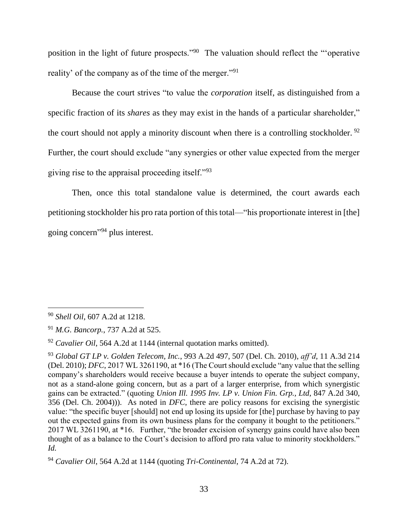position in the light of future prospects."<sup>90</sup> The valuation should reflect the "operative reality' of the company as of the time of the merger."<sup>91</sup>

Because the court strives "to value the *corporation* itself, as distinguished from a specific fraction of its *shares* as they may exist in the hands of a particular shareholder," the court should not apply a minority discount when there is a controlling stockholder.  $92$ Further, the court should exclude "any synergies or other value expected from the merger giving rise to the appraisal proceeding itself."<sup>93</sup>

Then, once this total standalone value is determined, the court awards each petitioning stockholder his pro rata portion of this total—"his proportionate interest in [the] going concern" <sup>94</sup> plus interest.

<sup>90</sup> *Shell Oil*, 607 A.2d at 1218.

<sup>91</sup> *M.G. Bancorp.*, 737 A.2d at 525.

<sup>92</sup> *Cavalier Oil*, 564 A.2d at 1144 (internal quotation marks omitted).

<sup>93</sup> *Global GT LP v. Golden Telecom, Inc.*, 993 A.2d 497, 507 (Del. Ch. 2010), *aff'd*, 11 A.3d 214 (Del. 2010); *DFC*, 2017 WL 3261190, at \*16 (The Court should exclude "any value that the selling company's shareholders would receive because a buyer intends to operate the subject company, not as a stand-alone going concern, but as a part of a larger enterprise, from which synergistic gains can be extracted." (quoting *Union Ill. 1995 Inv. LP v. Union Fin. Grp., Ltd*, 847 A.2d 340, 356 (Del. Ch. 2004))). As noted in *DFC*, there are policy reasons for excising the synergistic value: "the specific buyer [should] not end up losing its upside for [the] purchase by having to pay out the expected gains from its own business plans for the company it bought to the petitioners." 2017 WL 3261190, at \*16. Further, "the broader excision of synergy gains could have also been thought of as a balance to the Court's decision to afford pro rata value to minority stockholders." *Id.*

<sup>94</sup> *Cavalier Oil*, 564 A.2d at 1144 (quoting *Tri-Continental*, 74 A.2d at 72).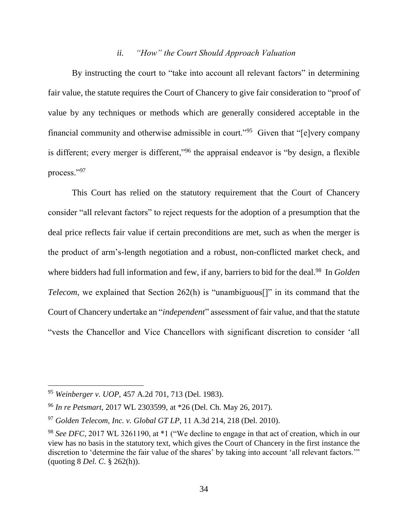## *ii. "How" the Court Should Approach Valuation*

By instructing the court to "take into account all relevant factors" in determining fair value, the statute requires the Court of Chancery to give fair consideration to "proof of value by any techniques or methods which are generally considered acceptable in the financial community and otherwise admissible in court."<sup>95</sup> Given that "[e]very company is different; every merger is different,"<sup>96</sup> the appraisal endeavor is "by design, a flexible process."<sup>97</sup>

This Court has relied on the statutory requirement that the Court of Chancery consider "all relevant factors" to reject requests for the adoption of a presumption that the deal price reflects fair value if certain preconditions are met, such as when the merger is the product of arm's-length negotiation and a robust, non-conflicted market check, and where bidders had full information and few, if any, barriers to bid for the deal.<sup>98</sup> In *Golden Telecom*, we explained that Section 262(h) is "unambiguous<sup>[]"</sup> in its command that the Court of Chancery undertake an "*independent*" assessment of fair value, and that the statute "vests the Chancellor and Vice Chancellors with significant discretion to consider 'all

<sup>95</sup> *Weinberger v. UOP*, 457 A.2d 701, 713 (Del. 1983).

<sup>96</sup> *In re Petsmart*, 2017 WL 2303599, at \*26 (Del. Ch. May 26, 2017).

<sup>97</sup> *Golden Telecom, Inc. v. Global GT LP*, 11 A.3d 214, 218 (Del. 2010).

<sup>98</sup> *See DFC*, 2017 WL 3261190, at \*1 ("We decline to engage in that act of creation, which in our view has no basis in the statutory text, which gives the Court of Chancery in the first instance the discretion to 'determine the fair value of the shares' by taking into account 'all relevant factors.'" (quoting 8 *Del. C*. § 262(h)).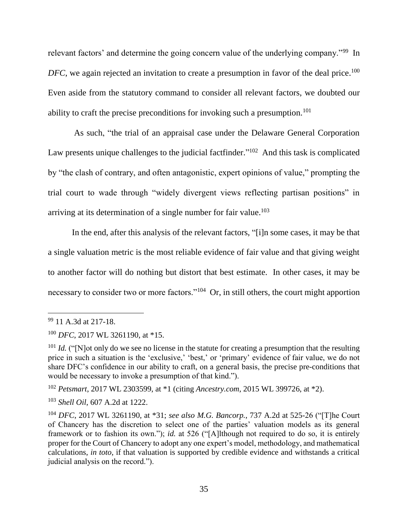relevant factors' and determine the going concern value of the underlying company."<sup>99</sup> In DFC, we again rejected an invitation to create a presumption in favor of the deal price.<sup>100</sup> Even aside from the statutory command to consider all relevant factors, we doubted our ability to craft the precise preconditions for invoking such a presumption.<sup>101</sup>

As such, "the trial of an appraisal case under the Delaware General Corporation Law presents unique challenges to the judicial factfinder."<sup>102</sup> And this task is complicated by "the clash of contrary, and often antagonistic, expert opinions of value," prompting the trial court to wade through "widely divergent views reflecting partisan positions" in arriving at its determination of a single number for fair value. 103

In the end, after this analysis of the relevant factors, "[i]n some cases, it may be that a single valuation metric is the most reliable evidence of fair value and that giving weight to another factor will do nothing but distort that best estimate. In other cases, it may be necessary to consider two or more factors."<sup>104</sup> Or, in still others, the court might apportion

<sup>99</sup> 11 A.3d at 217-18.

<sup>100</sup> *DFC*, 2017 WL 3261190, at \*15.

<sup>&</sup>lt;sup>101</sup> *Id.* ("[N]ot only do we see no license in the statute for creating a presumption that the resulting price in such a situation is the 'exclusive,' 'best,' or 'primary' evidence of fair value, we do not share DFC's confidence in our ability to craft, on a general basis, the precise pre-conditions that would be necessary to invoke a presumption of that kind.").

<sup>102</sup> *Petsmart*, 2017 WL 2303599, at \*1 (citing *Ancestry.com*, 2015 WL 399726, at \*2).

<sup>103</sup> *Shell Oil*, 607 A.2d at 1222.

<sup>104</sup> *DFC*, 2017 WL 3261190, at \*31; *see also M.G. Bancorp.*, 737 A.2d at 525-26 ("[T]he Court of Chancery has the discretion to select one of the parties' valuation models as its general framework or to fashion its own."); *id.* at 526 ("[A]lthough not required to do so, it is entirely proper for the Court of Chancery to adopt any one expert's model, methodology, and mathematical calculations, *in toto*, if that valuation is supported by credible evidence and withstands a critical judicial analysis on the record.").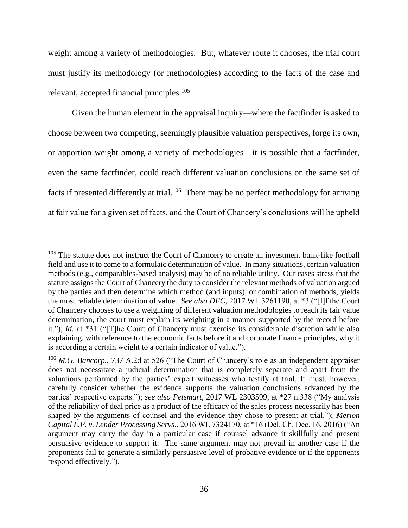weight among a variety of methodologies. But, whatever route it chooses, the trial court must justify its methodology (or methodologies) according to the facts of the case and relevant, accepted financial principles.<sup>105</sup>

Given the human element in the appraisal inquiry—where the factfinder is asked to choose between two competing, seemingly plausible valuation perspectives, forge its own, or apportion weight among a variety of methodologies—it is possible that a factfinder, even the same factfinder, could reach different valuation conclusions on the same set of facts if presented differently at trial.<sup>106</sup> There may be no perfect methodology for arriving at fair value for a given set of facts, and the Court of Chancery's conclusions will be upheld

<sup>&</sup>lt;sup>105</sup> The statute does not instruct the Court of Chancery to create an investment bank-like football field and use it to come to a formulaic determination of value. In many situations, certain valuation methods (e.g., comparables-based analysis) may be of no reliable utility. Our cases stress that the statute assigns the Court of Chancery the duty to consider the relevant methods of valuation argued by the parties and then determine which method (and inputs), or combination of methods, yields the most reliable determination of value. *See also DFC*, 2017 WL 3261190, at \*3 ("[I]f the Court of Chancery chooses to use a weighting of different valuation methodologies to reach its fair value determination, the court must explain its weighting in a manner supported by the record before it."); *id.* at \*31 ("[T]he Court of Chancery must exercise its considerable discretion while also explaining, with reference to the economic facts before it and corporate finance principles, why it is according a certain weight to a certain indicator of value.").

<sup>106</sup> *M.G. Bancorp.*, 737 A.2d at 526 ("The Court of Chancery's role as an independent appraiser does not necessitate a judicial determination that is completely separate and apart from the valuations performed by the parties' expert witnesses who testify at trial. It must, however, carefully consider whether the evidence supports the valuation conclusions advanced by the parties' respective experts."); *see also Petsmart*, 2017 WL 2303599, at \*27 n.338 ("My analysis of the reliability of deal price as a product of the efficacy of the sales process necessarily has been shaped by the arguments of counsel and the evidence they chose to present at trial."); *Merion Capital L.P. v. Lender Processing Servs.*, 2016 WL 7324170, at \*16 (Del. Ch. Dec. 16, 2016) ("An argument may carry the day in a particular case if counsel advance it skillfully and present persuasive evidence to support it. The same argument may not prevail in another case if the proponents fail to generate a similarly persuasive level of probative evidence or if the opponents respond effectively.").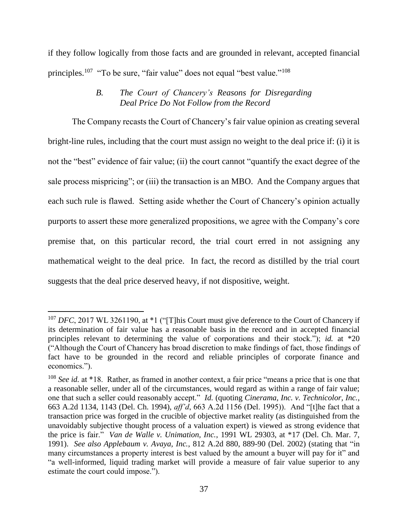if they follow logically from those facts and are grounded in relevant, accepted financial principles.<sup>107</sup> "To be sure, "fair value" does not equal "best value."<sup>108</sup>

# *B. The Court of Chancery's Reasons for Disregarding Deal Price Do Not Follow from the Record*

The Company recasts the Court of Chancery's fair value opinion as creating several bright-line rules, including that the court must assign no weight to the deal price if: (i) it is not the "best" evidence of fair value; (ii) the court cannot "quantify the exact degree of the sale process mispricing"; or (iii) the transaction is an MBO. And the Company argues that each such rule is flawed. Setting aside whether the Court of Chancery's opinion actually purports to assert these more generalized propositions, we agree with the Company's core premise that, on this particular record, the trial court erred in not assigning any mathematical weight to the deal price. In fact, the record as distilled by the trial court suggests that the deal price deserved heavy, if not dispositive, weight.

<sup>&</sup>lt;sup>107</sup> *DFC*, 2017 WL 3261190, at \*1 ("[T]his Court must give deference to the Court of Chancery if its determination of fair value has a reasonable basis in the record and in accepted financial principles relevant to determining the value of corporations and their stock."); *id.* at \*20 ("Although the Court of Chancery has broad discretion to make findings of fact, those findings of fact have to be grounded in the record and reliable principles of corporate finance and economics.").

<sup>108</sup> *See id.* at \*18. Rather, as framed in another context, a fair price "means a price that is one that a reasonable seller, under all of the circumstances, would regard as within a range of fair value; one that such a seller could reasonably accept." *Id.* (quoting *Cinerama, Inc. v. Technicolor, Inc.*, 663 A.2d 1134, 1143 (Del. Ch. 1994), *aff'd*, 663 A.2d 1156 (Del. 1995)). And "[t]he fact that a transaction price was forged in the crucible of objective market reality (as distinguished from the unavoidably subjective thought process of a valuation expert) is viewed as strong evidence that the price is fair." *Van de Walle v. Unimation, Inc.*, 1991 WL 29303, at \*17 (Del. Ch. Mar. 7, 1991). *See also Applebaum v. Avaya, Inc.*, 812 A.2d 880, 889-90 (Del. 2002) (stating that "in many circumstances a property interest is best valued by the amount a buyer will pay for it" and "a well-informed, liquid trading market will provide a measure of fair value superior to any estimate the court could impose.").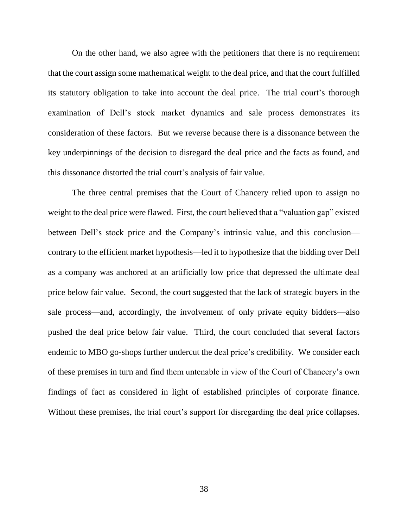On the other hand, we also agree with the petitioners that there is no requirement that the court assign some mathematical weight to the deal price, and that the court fulfilled its statutory obligation to take into account the deal price. The trial court's thorough examination of Dell's stock market dynamics and sale process demonstrates its consideration of these factors. But we reverse because there is a dissonance between the key underpinnings of the decision to disregard the deal price and the facts as found, and this dissonance distorted the trial court's analysis of fair value.

The three central premises that the Court of Chancery relied upon to assign no weight to the deal price were flawed. First, the court believed that a "valuation gap" existed between Dell's stock price and the Company's intrinsic value, and this conclusion contrary to the efficient market hypothesis—led it to hypothesize that the bidding over Dell as a company was anchored at an artificially low price that depressed the ultimate deal price below fair value. Second, the court suggested that the lack of strategic buyers in the sale process—and, accordingly, the involvement of only private equity bidders—also pushed the deal price below fair value. Third, the court concluded that several factors endemic to MBO go-shops further undercut the deal price's credibility. We consider each of these premises in turn and find them untenable in view of the Court of Chancery's own findings of fact as considered in light of established principles of corporate finance. Without these premises, the trial court's support for disregarding the deal price collapses.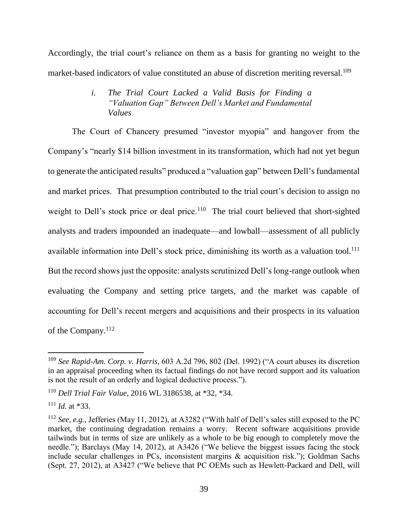Accordingly, the trial court's reliance on them as a basis for granting no weight to the market-based indicators of value constituted an abuse of discretion meriting reversal.<sup>109</sup>

# *i. The Trial Court Lacked a Valid Basis for Finding a "Valuation Gap" Between Dell's Market and Fundamental Values*

The Court of Chancery presumed "investor myopia" and hangover from the Company's "nearly \$14 billion investment in its transformation, which had not yet begun to generate the anticipated results" produced a "valuation gap" between Dell's fundamental and market prices. That presumption contributed to the trial court's decision to assign no weight to Dell's stock price or deal price.<sup>110</sup> The trial court believed that short-sighted analysts and traders impounded an inadequate—and lowball—assessment of all publicly available information into Dell's stock price, diminishing its worth as a valuation tool.<sup>111</sup> But the record shows just the opposite: analysts scrutinized Dell's long-range outlook when evaluating the Company and setting price targets, and the market was capable of accounting for Dell's recent mergers and acquisitions and their prospects in its valuation of the Company.<sup>112</sup>

<sup>109</sup> *See Rapid-Am. Corp. v. Harris*, 603 A.2d 796, 802 (Del. 1992) ("A court abuses its discretion in an appraisal proceeding when its factual findings do not have record support and its valuation is not the result of an orderly and logical deductive process.").

<sup>110</sup> *Dell Trial Fair Value*, 2016 WL 3186538, at \*32, \*34.

<sup>111</sup> *Id.* at \*33.

<sup>112</sup> *See, e.g.*, Jefferies (May 11, 2012), at A3282 ("With half of Dell's sales still exposed to the PC market, the continuing degradation remains a worry. Recent software acquisitions provide tailwinds but in terms of size are unlikely as a whole to be big enough to completely move the needle."); Barclays (May 14, 2012), at A3426 ("We believe the biggest issues facing the stock include secular challenges in PCs, inconsistent margins & acquisition risk."); Goldman Sachs (Sept. 27, 2012), at A3427 ("We believe that PC OEMs such as Hewlett-Packard and Dell, will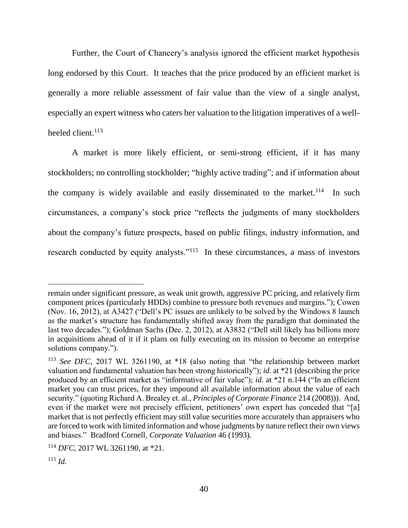Further, the Court of Chancery's analysis ignored the efficient market hypothesis long endorsed by this Court. It teaches that the price produced by an efficient market is generally a more reliable assessment of fair value than the view of a single analyst, especially an expert witness who caters her valuation to the litigation imperatives of a wellheeled client.<sup>113</sup>

A market is more likely efficient, or semi-strong efficient, if it has many stockholders; no controlling stockholder; "highly active trading"; and if information about the company is widely available and easily disseminated to the market.<sup>114</sup> In such circumstances, a company's stock price "reflects the judgments of many stockholders about the company's future prospects, based on public filings, industry information, and research conducted by equity analysts."<sup>115</sup> In these circumstances, a mass of investors

remain under significant pressure, as weak unit growth, aggressive PC pricing, and relatively firm component prices (particularly HDDs) combine to pressure both revenues and margins."); Cowen (Nov. 16, 2012), at A3427 ("Dell's PC issues are unlikely to be solved by the Windows 8 launch as the market's structure has fundamentally shifted away from the paradigm that dominated the last two decades."); Goldman Sachs (Dec. 2, 2012), at A3832 ("Dell still likely has billions more in acquisitions ahead of it if it plans on fully executing on its mission to become an enterprise solutions company.").

<sup>113</sup> *See DFC*, 2017 WL 3261190, at \*18 (also noting that "the relationship between market valuation and fundamental valuation has been strong historically"); *id*. at \*21 (describing the price produced by an efficient market as "informative of fair value"); *id.* at \*21 n.144 ("In an efficient market you can trust prices, for they impound all available information about the value of each security." (quoting Richard A. Brealey et. al., *Principles of Corporate Finance* 214 (2008))). And, even if the market were not precisely efficient, petitioners' own expert has conceded that "[a] market that is not perfectly efficient may still value securities more accurately than appraisers who are forced to work with limited information and whose judgments by nature reflect their own views and biases." Bradford Cornell, *Corporate Valuation* 46 (1993).

<sup>114</sup> *DFC*, 2017 WL 3261190, at \*21.

 $^{115}$  *Id.*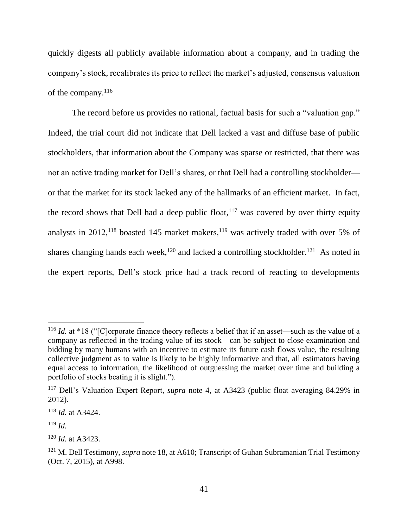quickly digests all publicly available information about a company, and in trading the company's stock, recalibrates its price to reflect the market's adjusted, consensus valuation of the company.<sup>116</sup>

The record before us provides no rational, factual basis for such a "valuation gap." Indeed, the trial court did not indicate that Dell lacked a vast and diffuse base of public stockholders, that information about the Company was sparse or restricted, that there was not an active trading market for Dell's shares, or that Dell had a controlling stockholder or that the market for its stock lacked any of the hallmarks of an efficient market. In fact, the record shows that Dell had a deep public float,  $117$  was covered by over thirty equity analysts in  $2012$ ,  $118$  boasted 145 market makers,  $119$  was actively traded with over 5% of shares changing hands each week,<sup>120</sup> and lacked a controlling stockholder.<sup>121</sup> As noted in the expert reports, Dell's stock price had a track record of reacting to developments

<sup>&</sup>lt;sup>116</sup> *Id.* at \*18 ("[C]orporate finance theory reflects a belief that if an asset—such as the value of a company as reflected in the trading value of its stock—can be subject to close examination and bidding by many humans with an incentive to estimate its future cash flows value, the resulting collective judgment as to value is likely to be highly informative and that, all estimators having equal access to information, the likelihood of outguessing the market over time and building a portfolio of stocks beating it is slight.").

<sup>117</sup> Dell's Valuation Expert Report, *supra* note 4, at A3423 (public float averaging 84.29% in 2012).

<sup>118</sup> *Id.* at A3424.

<sup>119</sup> *Id.*

<sup>120</sup> *Id.* at A3423.

<sup>121</sup> M. Dell Testimony, *supra* note 18, at A610; Transcript of Guhan Subramanian Trial Testimony (Oct. 7, 2015), at A998.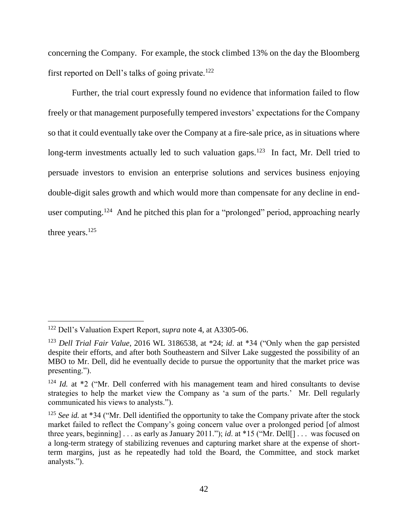concerning the Company. For example, the stock climbed 13% on the day the Bloomberg first reported on Dell's talks of going private.<sup>122</sup>

Further, the trial court expressly found no evidence that information failed to flow freely or that management purposefully tempered investors' expectations for the Company so that it could eventually take over the Company at a fire-sale price, as in situations where long-term investments actually led to such valuation gaps.<sup>123</sup> In fact, Mr. Dell tried to persuade investors to envision an enterprise solutions and services business enjoying double-digit sales growth and which would more than compensate for any decline in enduser computing.<sup>124</sup> And he pitched this plan for a "prolonged" period, approaching nearly three years.<sup>125</sup>

<sup>122</sup> Dell's Valuation Expert Report, *supra* note 4, at A3305-06.

<sup>123</sup> *Dell Trial Fair Value*, 2016 WL 3186538, at \*24; *id*. at \*34 ("Only when the gap persisted despite their efforts, and after both Southeastern and Silver Lake suggested the possibility of an MBO to Mr. Dell, did he eventually decide to pursue the opportunity that the market price was presenting.").

<sup>&</sup>lt;sup>124</sup> *Id.* at \*2 ("Mr. Dell conferred with his management team and hired consultants to devise strategies to help the market view the Company as 'a sum of the parts.' Mr. Dell regularly communicated his views to analysts.").

<sup>125</sup> *See id.* at \*34 ("Mr. Dell identified the opportunity to take the Company private after the stock market failed to reflect the Company's going concern value over a prolonged period [of almost three years, beginning] . . . as early as January 2011."); *id*. at \*15 ("Mr. Dell[] . . . was focused on a long-term strategy of stabilizing revenues and capturing market share at the expense of shortterm margins, just as he repeatedly had told the Board, the Committee, and stock market analysts.").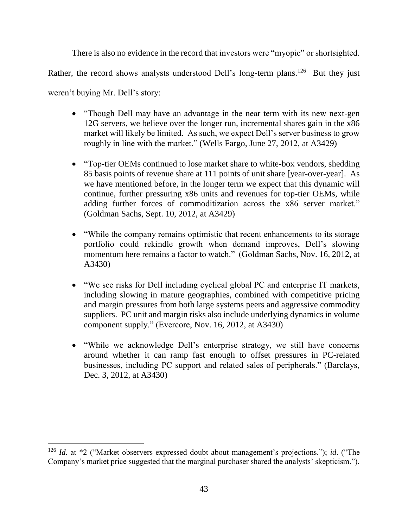There is also no evidence in the record that investors were "myopic" or shortsighted.

Rather, the record shows analysts understood Dell's long-term plans.<sup>126</sup> But they just

weren't buying Mr. Dell's story:

- "Though Dell may have an advantage in the near term with its new next-gen 12G servers, we believe over the longer run, incremental shares gain in the x86 market will likely be limited. As such, we expect Dell's server business to grow roughly in line with the market." (Wells Fargo, June 27, 2012, at A3429)
- "Top-tier OEMs continued to lose market share to white-box vendors, shedding 85 basis points of revenue share at 111 points of unit share [year-over-year]. As we have mentioned before, in the longer term we expect that this dynamic will continue, further pressuring x86 units and revenues for top-tier OEMs, while adding further forces of commoditization across the x86 server market." (Goldman Sachs, Sept. 10, 2012, at A3429)
- "While the company remains optimistic that recent enhancements to its storage portfolio could rekindle growth when demand improves, Dell's slowing momentum here remains a factor to watch." (Goldman Sachs, Nov. 16, 2012, at A3430)
- "We see risks for Dell including cyclical global PC and enterprise IT markets, including slowing in mature geographies, combined with competitive pricing and margin pressures from both large systems peers and aggressive commodity suppliers. PC unit and margin risks also include underlying dynamics in volume component supply." (Evercore, Nov. 16, 2012, at A3430)
- "While we acknowledge Dell's enterprise strategy, we still have concerns around whether it can ramp fast enough to offset pressures in PC-related businesses, including PC support and related sales of peripherals." (Barclays, Dec. 3, 2012, at A3430)

<sup>126</sup> *Id.* at \*2 ("Market observers expressed doubt about management's projections."); *id*. ("The Company's market price suggested that the marginal purchaser shared the analysts' skepticism.").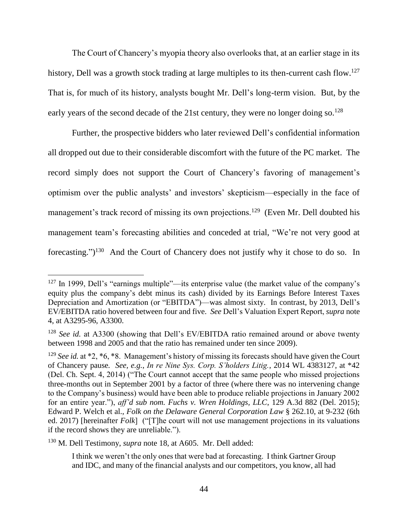The Court of Chancery's myopia theory also overlooks that, at an earlier stage in its history, Dell was a growth stock trading at large multiples to its then-current cash flow.<sup>127</sup> That is, for much of its history, analysts bought Mr. Dell's long-term vision. But, by the early years of the second decade of the 21st century, they were no longer doing so.<sup>128</sup>

Further, the prospective bidders who later reviewed Dell's confidential information all dropped out due to their considerable discomfort with the future of the PC market. The record simply does not support the Court of Chancery's favoring of management's optimism over the public analysts' and investors' skepticism—especially in the face of management's track record of missing its own projections.<sup>129</sup> (Even Mr. Dell doubted his management team's forecasting abilities and conceded at trial, "We're not very good at forecasting.")<sup>130</sup> And the Court of Chancery does not justify why it chose to do so. In

<sup>130</sup> M. Dell Testimony, *supra* note 18, at A605. Mr. Dell added:

<sup>127</sup> In 1999, Dell's "earnings multiple"—its enterprise value (the market value of the company's equity plus the company's debt minus its cash) divided by its Earnings Before Interest Taxes Depreciation and Amortization (or "EBITDA")—was almost sixty. In contrast, by 2013, Dell's EV/EBITDA ratio hovered between four and five. *See* Dell's Valuation Expert Report, *supra* note 4, at A3295-96, A3300.

<sup>&</sup>lt;sup>128</sup> *See id.* at A3300 (showing that Dell's EV/EBITDA ratio remained around or above twenty between 1998 and 2005 and that the ratio has remained under ten since 2009).

<sup>&</sup>lt;sup>129</sup> *See id.* at \*2, \*6, \*8. Management's history of missing its forecasts should have given the Court of Chancery pause*. See, e.g.*, *In re Nine Sys. Corp. S'holders Litig.*, 2014 WL 4383127, at \*42 (Del. Ch. Sept. 4, 2014) ("The Court cannot accept that the same people who missed projections three-months out in September 2001 by a factor of three (where there was no intervening change to the Company's business) would have been able to produce reliable projections in January 2002 for an entire year."), *aff'd sub nom. Fuchs v. Wren Holdings, LLC*, 129 A.3d 882 (Del. 2015); Edward P. Welch et al., *Folk on the Delaware General Corporation Law* § 262.10, at 9-232 (6th ed. 2017) [hereinafter *Folk*] ("[T]he court will not use management projections in its valuations if the record shows they are unreliable.").

I think we weren't the only ones that were bad at forecasting. I think Gartner Group and IDC, and many of the financial analysts and our competitors, you know, all had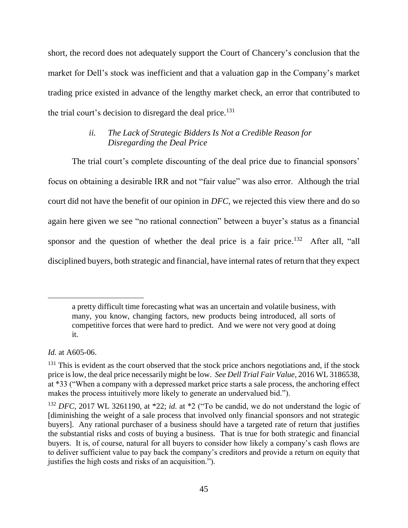short, the record does not adequately support the Court of Chancery's conclusion that the market for Dell's stock was inefficient and that a valuation gap in the Company's market trading price existed in advance of the lengthy market check, an error that contributed to the trial court's decision to disregard the deal price.<sup>131</sup>

# *ii. The Lack of Strategic Bidders Is Not a Credible Reason for Disregarding the Deal Price*

The trial court's complete discounting of the deal price due to financial sponsors' focus on obtaining a desirable IRR and not "fair value" was also error. Although the trial court did not have the benefit of our opinion in *DFC*, we rejected this view there and do so again here given we see "no rational connection" between a buyer's status as a financial sponsor and the question of whether the deal price is a fair price.<sup>132</sup> After all, "all disciplined buyers, both strategic and financial, have internal rates of return that they expect

*Id.* at A605-06.

a pretty difficult time forecasting what was an uncertain and volatile business, with many, you know, changing factors, new products being introduced, all sorts of competitive forces that were hard to predict. And we were not very good at doing it.

 $131$  This is evident as the court observed that the stock price anchors negotiations and, if the stock price is low, the deal price necessarily might be low. *See Dell Trial Fair Value*, 2016 WL 3186538, at \*33 ("When a company with a depressed market price starts a sale process, the anchoring effect makes the process intuitively more likely to generate an undervalued bid.").

<sup>132</sup> *DFC*, 2017 WL 3261190, at \*22; *id.* at \*2 ("To be candid, we do not understand the logic of [diminishing the weight of a sale process that involved only financial sponsors and not strategic buyers]. Any rational purchaser of a business should have a targeted rate of return that justifies the substantial risks and costs of buying a business. That is true for both strategic and financial buyers. It is, of course, natural for all buyers to consider how likely a company's cash flows are to deliver sufficient value to pay back the company's creditors and provide a return on equity that justifies the high costs and risks of an acquisition.").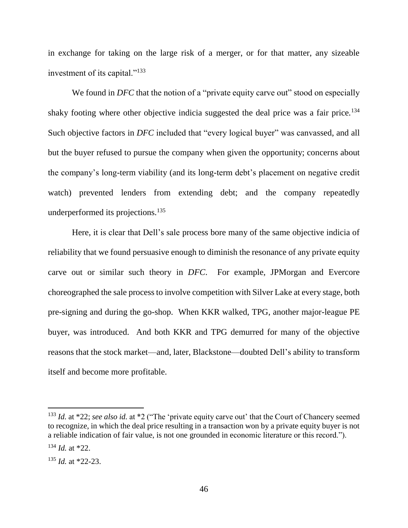in exchange for taking on the large risk of a merger, or for that matter, any sizeable investment of its capital."<sup>133</sup>

We found in *DFC* that the notion of a "private equity carve out" stood on especially shaky footing where other objective indicia suggested the deal price was a fair price.<sup>134</sup> Such objective factors in *DFC* included that "every logical buyer" was canvassed, and all but the buyer refused to pursue the company when given the opportunity; concerns about the company's long-term viability (and its long-term debt's placement on negative credit watch) prevented lenders from extending debt; and the company repeatedly underperformed its projections.<sup>135</sup>

Here, it is clear that Dell's sale process bore many of the same objective indicia of reliability that we found persuasive enough to diminish the resonance of any private equity carve out or similar such theory in *DFC*. For example, JPMorgan and Evercore choreographed the sale process to involve competition with Silver Lake at every stage, both pre-signing and during the go-shop. When KKR walked, TPG, another major-league PE buyer, was introduced. And both KKR and TPG demurred for many of the objective reasons that the stock market—and, later, Blackstone—doubted Dell's ability to transform itself and become more profitable.

<sup>&</sup>lt;sup>133</sup> *Id.* at \*22; *see also id.* at \*2 ("The 'private equity carve out' that the Court of Chancery seemed to recognize, in which the deal price resulting in a transaction won by a private equity buyer is not a reliable indication of fair value, is not one grounded in economic literature or this record.").

<sup>134</sup> *Id.* at \*22.

<sup>135</sup> *Id.* at \*22-23.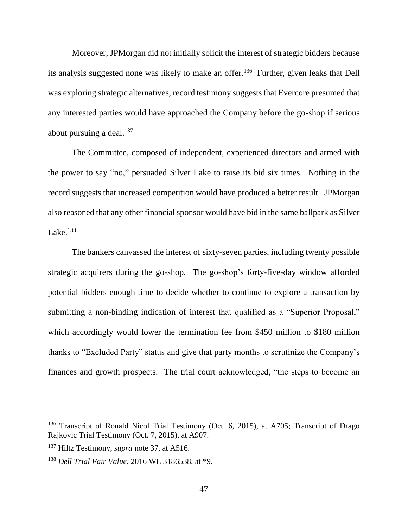Moreover, JPMorgan did not initially solicit the interest of strategic bidders because its analysis suggested none was likely to make an offer. <sup>136</sup> Further, given leaks that Dell was exploring strategic alternatives, record testimony suggests that Evercore presumed that any interested parties would have approached the Company before the go-shop if serious about pursuing a deal. $137$ 

The Committee, composed of independent, experienced directors and armed with the power to say "no," persuaded Silver Lake to raise its bid six times. Nothing in the record suggests that increased competition would have produced a better result. JPMorgan also reasoned that any other financial sponsor would have bid in the same ballpark as Silver Lake. $^{138}$ 

The bankers canvassed the interest of sixty-seven parties, including twenty possible strategic acquirers during the go-shop. The go-shop's forty-five-day window afforded potential bidders enough time to decide whether to continue to explore a transaction by submitting a non-binding indication of interest that qualified as a "Superior Proposal," which accordingly would lower the termination fee from \$450 million to \$180 million thanks to "Excluded Party" status and give that party months to scrutinize the Company's finances and growth prospects. The trial court acknowledged, "the steps to become an

<sup>&</sup>lt;sup>136</sup> Transcript of Ronald Nicol Trial Testimony (Oct. 6, 2015), at A705; Transcript of Drago Rajkovic Trial Testimony (Oct. 7, 2015), at A907.

<sup>137</sup> Hiltz Testimony, *supra* note 37, at A516.

<sup>138</sup> *Dell Trial Fair Value*, 2016 WL 3186538, at \*9.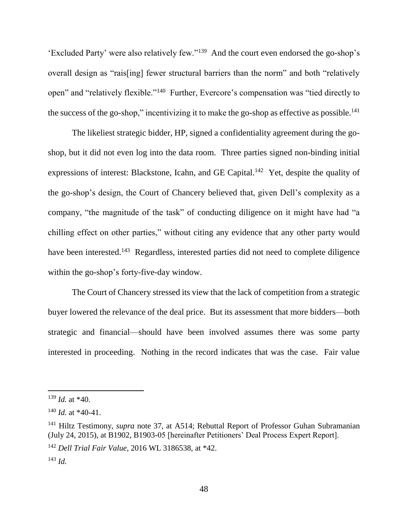'Excluded Party' were also relatively few."<sup>139</sup> And the court even endorsed the go-shop's overall design as "rais[ing] fewer structural barriers than the norm" and both "relatively open" and "relatively flexible."<sup>140</sup> Further, Evercore's compensation was "tied directly to the success of the go-shop," incentivizing it to make the go-shop as effective as possible.<sup>141</sup>

The likeliest strategic bidder, HP, signed a confidentiality agreement during the goshop, but it did not even log into the data room. Three parties signed non-binding initial expressions of interest: Blackstone, Icahn, and GE Capital.<sup>142</sup> Yet, despite the quality of the go-shop's design, the Court of Chancery believed that, given Dell's complexity as a company, "the magnitude of the task" of conducting diligence on it might have had "a chilling effect on other parties," without citing any evidence that any other party would have been interested.<sup>143</sup> Regardless, interested parties did not need to complete diligence within the go-shop's forty-five-day window.

The Court of Chancery stressed its view that the lack of competition from a strategic buyer lowered the relevance of the deal price. But its assessment that more bidders—both strategic and financial—should have been involved assumes there was some party interested in proceeding. Nothing in the record indicates that was the case. Fair value

<sup>139</sup> *Id.* at \*40.

<sup>140</sup> *Id.* at \*40-41.

<sup>141</sup> Hiltz Testimony, *supra* note 37, at A514; Rebuttal Report of Professor Guhan Subramanian (July 24, 2015), at B1902, B1903-05 [hereinafter Petitioners' Deal Process Expert Report].

<sup>142</sup> *Dell Trial Fair Value*, 2016 WL 3186538, at \*42.

<sup>143</sup> *Id.*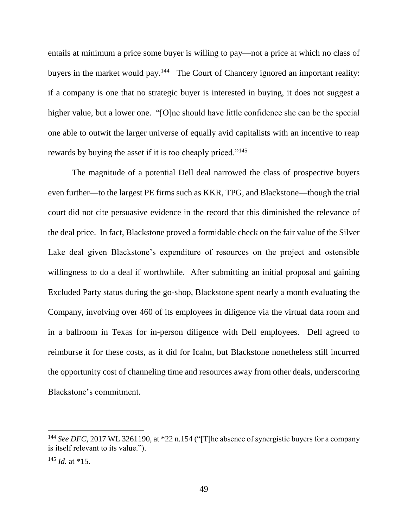entails at minimum a price some buyer is willing to pay—not a price at which no class of buyers in the market would pay.<sup>144</sup> The Court of Chancery ignored an important reality: if a company is one that no strategic buyer is interested in buying, it does not suggest a higher value, but a lower one. "[O]ne should have little confidence she can be the special one able to outwit the larger universe of equally avid capitalists with an incentive to reap rewards by buying the asset if it is too cheaply priced."<sup>145</sup>

The magnitude of a potential Dell deal narrowed the class of prospective buyers even further—to the largest PE firms such as KKR, TPG, and Blackstone—though the trial court did not cite persuasive evidence in the record that this diminished the relevance of the deal price. In fact, Blackstone proved a formidable check on the fair value of the Silver Lake deal given Blackstone's expenditure of resources on the project and ostensible willingness to do a deal if worthwhile. After submitting an initial proposal and gaining Excluded Party status during the go-shop, Blackstone spent nearly a month evaluating the Company, involving over 460 of its employees in diligence via the virtual data room and in a ballroom in Texas for in-person diligence with Dell employees. Dell agreed to reimburse it for these costs, as it did for Icahn, but Blackstone nonetheless still incurred the opportunity cost of channeling time and resources away from other deals, underscoring Blackstone's commitment.

<sup>&</sup>lt;sup>144</sup> See DFC, 2017 WL 3261190, at \*22 n.154 ("[T]he absence of synergistic buyers for a company is itself relevant to its value.").

<sup>145</sup> *Id.* at \*15.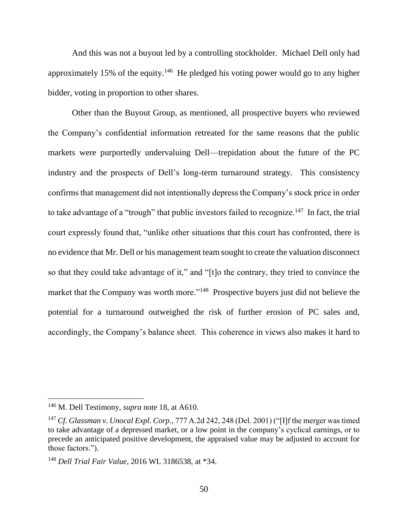And this was not a buyout led by a controlling stockholder. Michael Dell only had approximately 15% of the equity.<sup>146</sup> He pledged his voting power would go to any higher bidder, voting in proportion to other shares.

Other than the Buyout Group, as mentioned, all prospective buyers who reviewed the Company's confidential information retreated for the same reasons that the public markets were purportedly undervaluing Dell—trepidation about the future of the PC industry and the prospects of Dell's long-term turnaround strategy. This consistency confirms that management did not intentionally depress the Company's stock price in order to take advantage of a "trough" that public investors failed to recognize.<sup>147</sup> In fact, the trial court expressly found that, "unlike other situations that this court has confronted, there is no evidence that Mr. Dell or his management team sought to create the valuation disconnect so that they could take advantage of it," and "[t]o the contrary, they tried to convince the market that the Company was worth more."<sup>148</sup> Prospective buyers just did not believe the potential for a turnaround outweighed the risk of further erosion of PC sales and, accordingly, the Company's balance sheet. This coherence in views also makes it hard to

<sup>146</sup> M. Dell Testimony, *supra* note 18, at A610.

<sup>147</sup> *Cf. Glassman v. Unocal Expl. Corp.*, 777 A.2d 242, 248 (Del. 2001) ("[I]f the merger was timed to take advantage of a depressed market, or a low point in the company's cyclical earnings, or to precede an anticipated positive development, the appraised value may be adjusted to account for those factors.").

<sup>148</sup> *Dell Trial Fair Value*, 2016 WL 3186538, at \*34.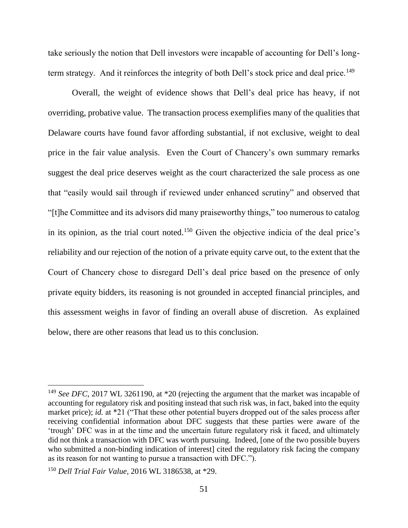take seriously the notion that Dell investors were incapable of accounting for Dell's longterm strategy. And it reinforces the integrity of both Dell's stock price and deal price.<sup>149</sup>

Overall, the weight of evidence shows that Dell's deal price has heavy, if not overriding, probative value. The transaction process exemplifies many of the qualities that Delaware courts have found favor affording substantial, if not exclusive, weight to deal price in the fair value analysis. Even the Court of Chancery's own summary remarks suggest the deal price deserves weight as the court characterized the sale process as one that "easily would sail through if reviewed under enhanced scrutiny" and observed that "[t]he Committee and its advisors did many praiseworthy things," too numerous to catalog in its opinion, as the trial court noted. <sup>150</sup> Given the objective indicia of the deal price's reliability and our rejection of the notion of a private equity carve out, to the extent that the Court of Chancery chose to disregard Dell's deal price based on the presence of only private equity bidders, its reasoning is not grounded in accepted financial principles, and this assessment weighs in favor of finding an overall abuse of discretion. As explained below, there are other reasons that lead us to this conclusion.

<sup>&</sup>lt;sup>149</sup> *See DFC*, 2017 WL 3261190, at \*20 (rejecting the argument that the market was incapable of accounting for regulatory risk and positing instead that such risk was, in fact, baked into the equity market price); *id.* at \*21 ("That these other potential buyers dropped out of the sales process after receiving confidential information about DFC suggests that these parties were aware of the 'trough' DFC was in at the time and the uncertain future regulatory risk it faced, and ultimately did not think a transaction with DFC was worth pursuing. Indeed, [one of the two possible buyers who submitted a non-binding indication of interest cited the regulatory risk facing the company as its reason for not wanting to pursue a transaction with DFC.").

<sup>150</sup> *Dell Trial Fair Value*, 2016 WL 3186538, at \*29.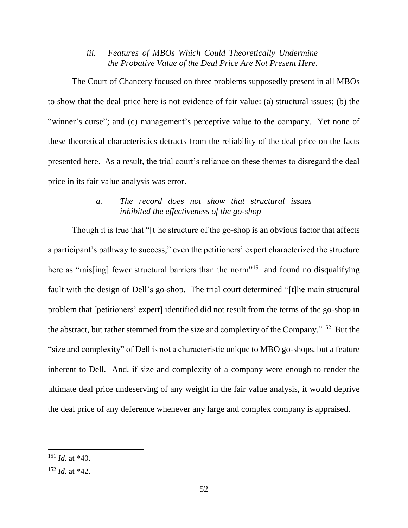*iii. Features of MBOs Which Could Theoretically Undermine the Probative Value of the Deal Price Are Not Present Here.*

The Court of Chancery focused on three problems supposedly present in all MBOs to show that the deal price here is not evidence of fair value: (a) structural issues; (b) the "winner's curse"; and (c) management's perceptive value to the company. Yet none of these theoretical characteristics detracts from the reliability of the deal price on the facts presented here. As a result, the trial court's reliance on these themes to disregard the deal price in its fair value analysis was error.

## *a. The record does not show that structural issues inhibited the effectiveness of the go-shop*

Though it is true that "[t]he structure of the go-shop is an obvious factor that affects a participant's pathway to success," even the petitioners' expert characterized the structure here as "rais[ing] fewer structural barriers than the norm"<sup>151</sup> and found no disqualifying fault with the design of Dell's go-shop. The trial court determined "[t]he main structural problem that [petitioners' expert] identified did not result from the terms of the go-shop in the abstract, but rather stemmed from the size and complexity of the Company."<sup>152</sup> But the "size and complexity" of Dell is not a characteristic unique to MBO go-shops, but a feature inherent to Dell. And, if size and complexity of a company were enough to render the ultimate deal price undeserving of any weight in the fair value analysis, it would deprive the deal price of any deference whenever any large and complex company is appraised.

<sup>151</sup> *Id.* at \*40.

<sup>152</sup> *Id.* at \*42.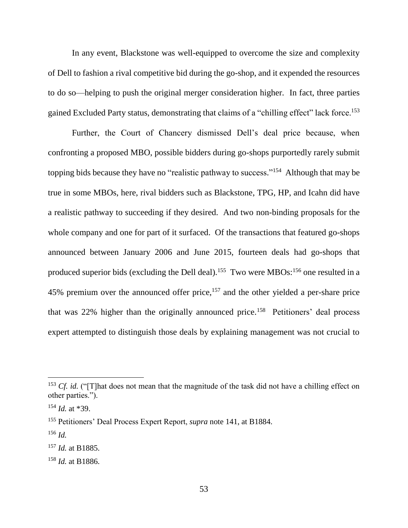In any event, Blackstone was well-equipped to overcome the size and complexity of Dell to fashion a rival competitive bid during the go-shop, and it expended the resources to do so—helping to push the original merger consideration higher. In fact, three parties gained Excluded Party status, demonstrating that claims of a "chilling effect" lack force.<sup>153</sup>

Further, the Court of Chancery dismissed Dell's deal price because, when confronting a proposed MBO, possible bidders during go-shops purportedly rarely submit topping bids because they have no "realistic pathway to success."<sup>154</sup> Although that may be true in some MBOs, here, rival bidders such as Blackstone, TPG, HP, and Icahn did have a realistic pathway to succeeding if they desired. And two non-binding proposals for the whole company and one for part of it surfaced. Of the transactions that featured go-shops announced between January 2006 and June 2015, fourteen deals had go-shops that produced superior bids (excluding the Dell deal).<sup>155</sup> Two were MBOs:<sup>156</sup> one resulted in a 45% premium over the announced offer price,<sup>157</sup> and the other yielded a per-share price that was  $22\%$  higher than the originally announced price.<sup>158</sup> Petitioners' deal process expert attempted to distinguish those deals by explaining management was not crucial to

<sup>&</sup>lt;sup>153</sup> *Cf. id.* ("[T]hat does not mean that the magnitude of the task did not have a chilling effect on other parties.").

<sup>154</sup> *Id.* at \*39.

<sup>155</sup> Petitioners' Deal Process Expert Report, *supra* note 141, at B1884.

<sup>156</sup> *Id.*

<sup>157</sup> *Id.* at B1885.

<sup>158</sup> *Id.* at B1886.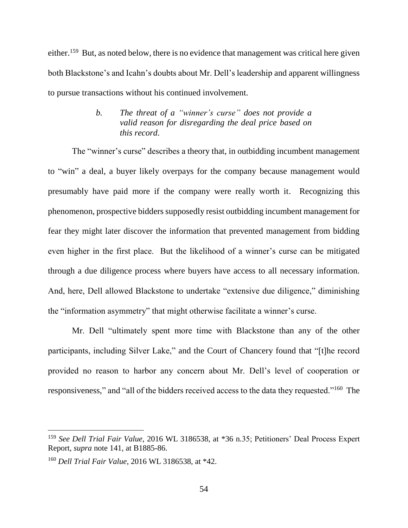either.<sup>159</sup> But, as noted below, there is no evidence that management was critical here given both Blackstone's and Icahn's doubts about Mr. Dell's leadership and apparent willingness to pursue transactions without his continued involvement.

# *b. The threat of a "winner's curse" does not provide a valid reason for disregarding the deal price based on this record.*

The "winner's curse" describes a theory that, in outbidding incumbent management to "win" a deal, a buyer likely overpays for the company because management would presumably have paid more if the company were really worth it. Recognizing this phenomenon, prospective bidders supposedly resist outbidding incumbent management for fear they might later discover the information that prevented management from bidding even higher in the first place. But the likelihood of a winner's curse can be mitigated through a due diligence process where buyers have access to all necessary information. And, here, Dell allowed Blackstone to undertake "extensive due diligence," diminishing the "information asymmetry" that might otherwise facilitate a winner's curse.

Mr. Dell "ultimately spent more time with Blackstone than any of the other participants, including Silver Lake," and the Court of Chancery found that "[t]he record provided no reason to harbor any concern about Mr. Dell's level of cooperation or responsiveness," and "all of the bidders received access to the data they requested."<sup>160</sup> The

<sup>159</sup> *See Dell Trial Fair Value*, 2016 WL 3186538, at \*36 n.35; Petitioners' Deal Process Expert Report, *supra* note 141, at B1885-86.

<sup>160</sup> *Dell Trial Fair Value*, 2016 WL 3186538, at \*42.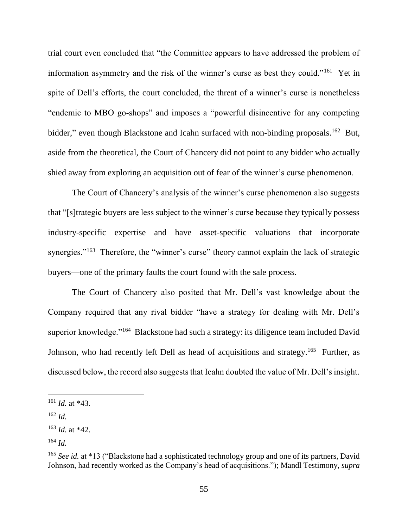trial court even concluded that "the Committee appears to have addressed the problem of information asymmetry and the risk of the winner's curse as best they could."<sup>161</sup> Yet in spite of Dell's efforts, the court concluded, the threat of a winner's curse is nonetheless "endemic to MBO go-shops" and imposes a "powerful disincentive for any competing bidder," even though Blackstone and Icahn surfaced with non-binding proposals.<sup>162</sup> But, aside from the theoretical, the Court of Chancery did not point to any bidder who actually shied away from exploring an acquisition out of fear of the winner's curse phenomenon.

The Court of Chancery's analysis of the winner's curse phenomenon also suggests that "[s]trategic buyers are less subject to the winner's curse because they typically possess industry-specific expertise and have asset-specific valuations that incorporate synergies."<sup>163</sup> Therefore, the "winner's curse" theory cannot explain the lack of strategic buyers—one of the primary faults the court found with the sale process.

The Court of Chancery also posited that Mr. Dell's vast knowledge about the Company required that any rival bidder "have a strategy for dealing with Mr. Dell's superior knowledge."<sup>164</sup> Blackstone had such a strategy: its diligence team included David Johnson, who had recently left Dell as head of acquisitions and strategy.<sup>165</sup> Further, as discussed below, the record also suggests that Icahn doubted the value of Mr. Dell's insight.

<sup>161</sup> *Id.* at \*43.

<sup>162</sup> *Id.*

<sup>163</sup> *Id.* at \*42.

<sup>164</sup> *Id.*

<sup>&</sup>lt;sup>165</sup> See id. at \*13 ("Blackstone had a sophisticated technology group and one of its partners, David Johnson, had recently worked as the Company's head of acquisitions."); Mandl Testimony, *supra*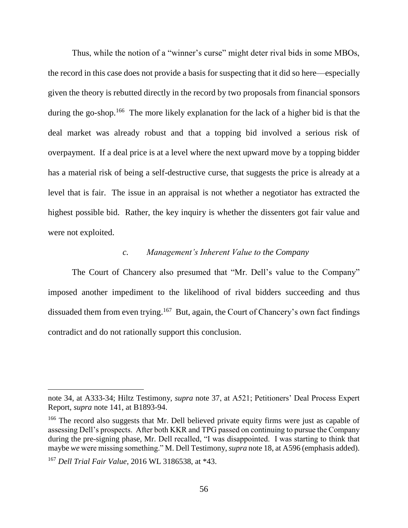Thus, while the notion of a "winner's curse" might deter rival bids in some MBOs, the record in this case does not provide a basis for suspecting that it did so here—especially given the theory is rebutted directly in the record by two proposals from financial sponsors during the go-shop.<sup>166</sup> The more likely explanation for the lack of a higher bid is that the deal market was already robust and that a topping bid involved a serious risk of overpayment. If a deal price is at a level where the next upward move by a topping bidder has a material risk of being a self-destructive curse, that suggests the price is already at a level that is fair. The issue in an appraisal is not whether a negotiator has extracted the highest possible bid. Rather, the key inquiry is whether the dissenters got fair value and were not exploited.

#### *c. Management's Inherent Value to the Company*

The Court of Chancery also presumed that "Mr. Dell's value to the Company" imposed another impediment to the likelihood of rival bidders succeeding and thus dissuaded them from even trying.<sup>167</sup> But, again, the Court of Chancery's own fact findings contradict and do not rationally support this conclusion.

note 34, at A333-34; Hiltz Testimony, *supra* note 37, at A521; Petitioners' Deal Process Expert Report, *supra* note 141, at B1893-94.

<sup>&</sup>lt;sup>166</sup> The record also suggests that Mr. Dell believed private equity firms were just as capable of assessing Dell's prospects. After both KKR and TPG passed on continuing to pursue the Company during the pre-signing phase, Mr. Dell recalled, "I was disappointed. I was starting to think that maybe *we* were missing something." M. Dell Testimony, *supra* note 18, at A596 (emphasis added).

<sup>167</sup> *Dell Trial Fair Value*, 2016 WL 3186538, at \*43.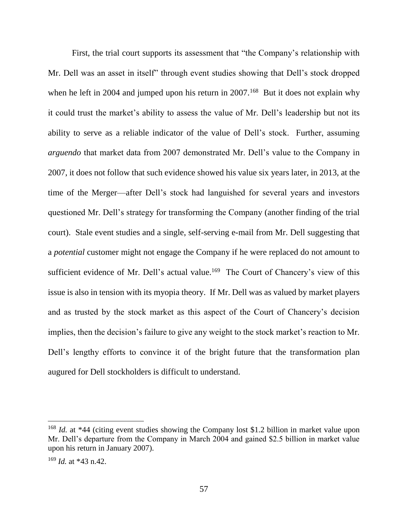First, the trial court supports its assessment that "the Company's relationship with Mr. Dell was an asset in itself" through event studies showing that Dell's stock dropped when he left in 2004 and jumped upon his return in  $2007$ .<sup>168</sup> But it does not explain why it could trust the market's ability to assess the value of Mr. Dell's leadership but not its ability to serve as a reliable indicator of the value of Dell's stock. Further, assuming *arguendo* that market data from 2007 demonstrated Mr. Dell's value to the Company in 2007, it does not follow that such evidence showed his value six years later, in 2013, at the time of the Merger—after Dell's stock had languished for several years and investors questioned Mr. Dell's strategy for transforming the Company (another finding of the trial court). Stale event studies and a single, self-serving e-mail from Mr. Dell suggesting that a *potential* customer might not engage the Company if he were replaced do not amount to sufficient evidence of Mr. Dell's actual value.<sup>169</sup> The Court of Chancery's view of this issue is also in tension with its myopia theory. If Mr. Dell was as valued by market players and as trusted by the stock market as this aspect of the Court of Chancery's decision implies, then the decision's failure to give any weight to the stock market's reaction to Mr. Dell's lengthy efforts to convince it of the bright future that the transformation plan augured for Dell stockholders is difficult to understand.

<sup>&</sup>lt;sup>168</sup> *Id.* at \*44 (citing event studies showing the Company lost \$1.2 billion in market value upon Mr. Dell's departure from the Company in March 2004 and gained \$2.5 billion in market value upon his return in January 2007).

<sup>169</sup> *Id.* at \*43 n.42.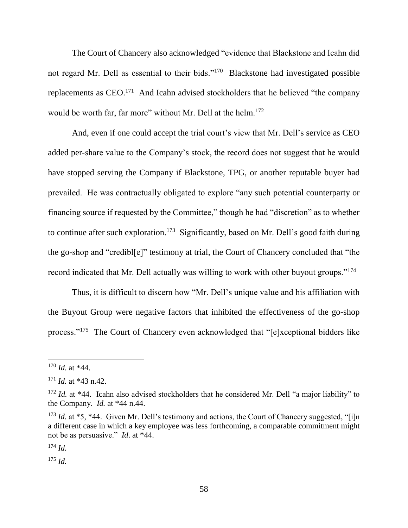The Court of Chancery also acknowledged "evidence that Blackstone and Icahn did not regard Mr. Dell as essential to their bids."<sup>170</sup> Blackstone had investigated possible replacements as  $CEO<sup>171</sup>$  And Icahn advised stockholders that he believed "the company would be worth far, far more" without Mr. Dell at the helm.<sup>172</sup>

And, even if one could accept the trial court's view that Mr. Dell's service as CEO added per-share value to the Company's stock, the record does not suggest that he would have stopped serving the Company if Blackstone, TPG, or another reputable buyer had prevailed. He was contractually obligated to explore "any such potential counterparty or financing source if requested by the Committee," though he had "discretion" as to whether to continue after such exploration.<sup>173</sup> Significantly, based on Mr. Dell's good faith during the go-shop and "credibl[e]" testimony at trial, the Court of Chancery concluded that "the record indicated that Mr. Dell actually was willing to work with other buyout groups."<sup>174</sup>

Thus, it is difficult to discern how "Mr. Dell's unique value and his affiliation with the Buyout Group were negative factors that inhibited the effectiveness of the go-shop process."<sup>175</sup> The Court of Chancery even acknowledged that "[e]xceptional bidders like

 $\overline{a}$ 

<sup>174</sup> *Id.*

<sup>175</sup> *Id.*

 $170$  *Id.* at  $*44$ .

 $171$  *Id.* at \*43 n.42.

<sup>&</sup>lt;sup>172</sup> *Id.* at \*44. Icahn also advised stockholders that he considered Mr. Dell "a major liability" to the Company. *Id.* at \*44 n.44.

<sup>&</sup>lt;sup>173</sup> *Id.* at \*5, \*44. Given Mr. Dell's testimony and actions, the Court of Chancery suggested, "[i]n a different case in which a key employee was less forthcoming, a comparable commitment might not be as persuasive." *Id*. at \*44.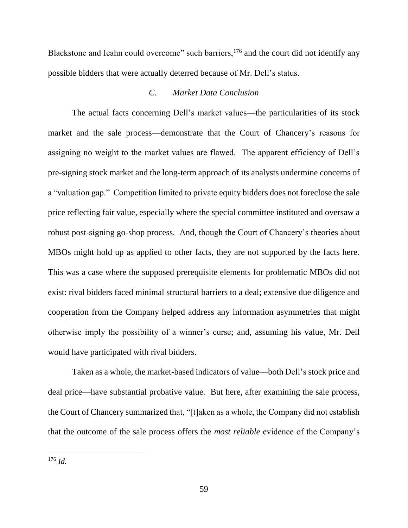Blackstone and Icahn could overcome" such barriers,<sup>176</sup> and the court did not identify any possible bidders that were actually deterred because of Mr. Dell's status.

### *C. Market Data Conclusion*

The actual facts concerning Dell's market values—the particularities of its stock market and the sale process—demonstrate that the Court of Chancery's reasons for assigning no weight to the market values are flawed. The apparent efficiency of Dell's pre-signing stock market and the long-term approach of its analysts undermine concerns of a "valuation gap." Competition limited to private equity bidders does not foreclose the sale price reflecting fair value, especially where the special committee instituted and oversaw a robust post-signing go-shop process. And, though the Court of Chancery's theories about MBOs might hold up as applied to other facts, they are not supported by the facts here. This was a case where the supposed prerequisite elements for problematic MBOs did not exist: rival bidders faced minimal structural barriers to a deal; extensive due diligence and cooperation from the Company helped address any information asymmetries that might otherwise imply the possibility of a winner's curse; and, assuming his value, Mr. Dell would have participated with rival bidders.

Taken as a whole, the market-based indicators of value—both Dell's stock price and deal price—have substantial probative value. But here, after examining the sale process, the Court of Chancery summarized that, "[t]aken as a whole, the Company did not establish that the outcome of the sale process offers the *most reliable* evidence of the Company's

<sup>176</sup> *Id.*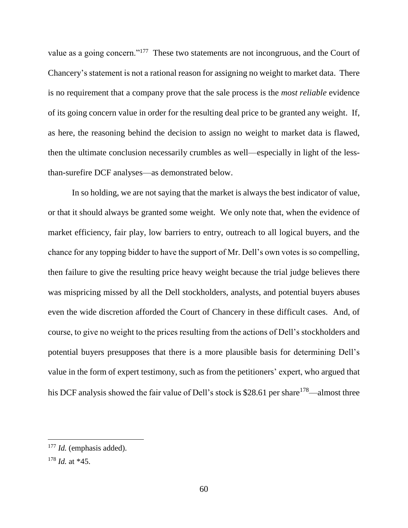value as a going concern."<sup>177</sup> These two statements are not incongruous, and the Court of Chancery's statement is not a rational reason for assigning no weight to market data. There is no requirement that a company prove that the sale process is the *most reliable* evidence of its going concern value in order for the resulting deal price to be granted any weight. If, as here, the reasoning behind the decision to assign no weight to market data is flawed, then the ultimate conclusion necessarily crumbles as well—especially in light of the lessthan-surefire DCF analyses—as demonstrated below.

In so holding, we are not saying that the market is always the best indicator of value, or that it should always be granted some weight. We only note that, when the evidence of market efficiency, fair play, low barriers to entry, outreach to all logical buyers, and the chance for any topping bidder to have the support of Mr. Dell's own votes is so compelling, then failure to give the resulting price heavy weight because the trial judge believes there was mispricing missed by all the Dell stockholders, analysts, and potential buyers abuses even the wide discretion afforded the Court of Chancery in these difficult cases. And, of course, to give no weight to the prices resulting from the actions of Dell's stockholders and potential buyers presupposes that there is a more plausible basis for determining Dell's value in the form of expert testimony, such as from the petitioners' expert, who argued that his DCF analysis showed the fair value of Dell's stock is \$28.61 per share<sup>178</sup>—almost three

<sup>&</sup>lt;sup>177</sup> *Id.* (emphasis added).

<sup>178</sup> *Id.* at \*45.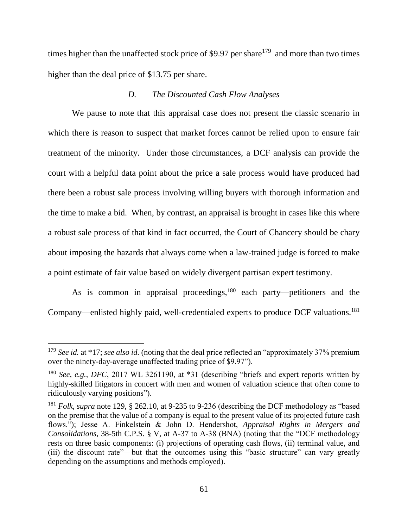times higher than the unaffected stock price of \$9.97 per share<sup>179</sup> and more than two times higher than the deal price of \$13.75 per share.

#### *D. The Discounted Cash Flow Analyses*

We pause to note that this appraisal case does not present the classic scenario in which there is reason to suspect that market forces cannot be relied upon to ensure fair treatment of the minority. Under those circumstances, a DCF analysis can provide the court with a helpful data point about the price a sale process would have produced had there been a robust sale process involving willing buyers with thorough information and the time to make a bid. When, by contrast, an appraisal is brought in cases like this where a robust sale process of that kind in fact occurred, the Court of Chancery should be chary about imposing the hazards that always come when a law-trained judge is forced to make a point estimate of fair value based on widely divergent partisan expert testimony.

As is common in appraisal proceedings,<sup>180</sup> each party—petitioners and the Company—enlisted highly paid, well-credentialed experts to produce DCF valuations.<sup>181</sup>

<sup>&</sup>lt;sup>179</sup> See id. at \*17; see also id. (noting that the deal price reflected an "approximately 37% premium over the ninety-day-average unaffected trading price of \$9.97").

<sup>180</sup> *See, e.g.*, *DFC*, 2017 WL 3261190, at \*31 (describing "briefs and expert reports written by highly-skilled litigators in concert with men and women of valuation science that often come to ridiculously varying positions").

<sup>181</sup> *Folk*, *supra* note 129, § 262.10, at 9-235 to 9-236 (describing the DCF methodology as "based on the premise that the value of a company is equal to the present value of its projected future cash flows."); Jesse A. Finkelstein & John D. Hendershot, *Appraisal Rights in Mergers and Consolidations*, 38-5th C.P.S. § V, at A-37 to A-38 (BNA) (noting that the "DCF methodology rests on three basic components: (i) projections of operating cash flows, (ii) terminal value, and (iii) the discount rate"—but that the outcomes using this "basic structure" can vary greatly depending on the assumptions and methods employed).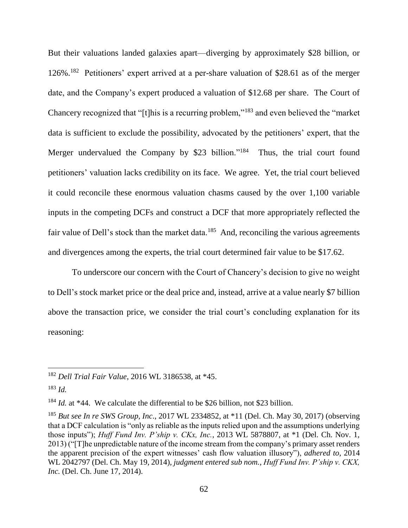But their valuations landed galaxies apart—diverging by approximately \$28 billion, or 126%. 182 Petitioners' expert arrived at a per-share valuation of \$28.61 as of the merger date, and the Company's expert produced a valuation of \$12.68 per share. The Court of Chancery recognized that "[t]his is a recurring problem,"<sup>183</sup> and even believed the "market data is sufficient to exclude the possibility, advocated by the petitioners' expert, that the Merger undervalued the Company by \$23 billion."<sup>184</sup> Thus, the trial court found petitioners' valuation lacks credibility on its face. We agree. Yet, the trial court believed it could reconcile these enormous valuation chasms caused by the over 1,100 variable inputs in the competing DCFs and construct a DCF that more appropriately reflected the fair value of Dell's stock than the market data.<sup>185</sup> And, reconciling the various agreements and divergences among the experts, the trial court determined fair value to be \$17.62.

To underscore our concern with the Court of Chancery's decision to give no weight to Dell's stock market price or the deal price and, instead, arrive at a value nearly \$7 billion above the transaction price, we consider the trial court's concluding explanation for its reasoning:

<sup>182</sup> *Dell Trial Fair Value*, 2016 WL 3186538, at \*45.

<sup>183</sup> *Id.*

<sup>&</sup>lt;sup>184</sup> *Id.* at \*44. We calculate the differential to be \$26 billion, not \$23 billion.

<sup>185</sup> *But see In re SWS Group, Inc*., 2017 WL 2334852, at \*11 (Del. Ch. May 30, 2017) (observing that a DCF calculation is "only as reliable as the inputs relied upon and the assumptions underlying those inputs"); *Huff Fund Inv. P'ship v. CKx, Inc.*, 2013 WL 5878807, at \*1 (Del. Ch. Nov. 1, 2013) ("[T]he unpredictable nature of the income stream from the company's primary asset renders the apparent precision of the expert witnesses' cash flow valuation illusory"), *adhered to*, 2014 WL 2042797 (Del. Ch. May 19, 2014), *judgment entered sub nom.*, *Huff Fund Inv. P'ship v. CKX, Inc.* (Del. Ch. June 17, 2014).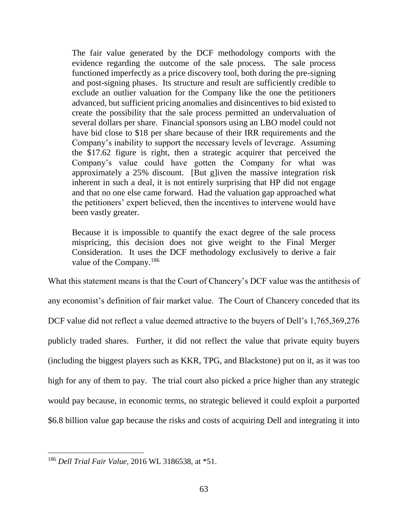The fair value generated by the DCF methodology comports with the evidence regarding the outcome of the sale process. The sale process functioned imperfectly as a price discovery tool, both during the pre-signing and post-signing phases. Its structure and result are sufficiently credible to exclude an outlier valuation for the Company like the one the petitioners advanced, but sufficient pricing anomalies and disincentives to bid existed to create the possibility that the sale process permitted an undervaluation of several dollars per share. Financial sponsors using an LBO model could not have bid close to \$18 per share because of their IRR requirements and the Company's inability to support the necessary levels of leverage. Assuming the \$17.62 figure is right, then a strategic acquirer that perceived the Company's value could have gotten the Company for what was approximately a 25% discount. [But g]iven the massive integration risk inherent in such a deal, it is not entirely surprising that HP did not engage and that no one else came forward. Had the valuation gap approached what the petitioners' expert believed, then the incentives to intervene would have been vastly greater.

Because it is impossible to quantify the exact degree of the sale process mispricing, this decision does not give weight to the Final Merger Consideration. It uses the DCF methodology exclusively to derive a fair value of the Company.<sup>186</sup>

What this statement means is that the Court of Chancery's DCF value was the antithesis of any economist's definition of fair market value. The Court of Chancery conceded that its DCF value did not reflect a value deemed attractive to the buyers of Dell's 1,765,369,276 publicly traded shares. Further, it did not reflect the value that private equity buyers (including the biggest players such as KKR, TPG, and Blackstone) put on it, as it was too high for any of them to pay. The trial court also picked a price higher than any strategic would pay because, in economic terms, no strategic believed it could exploit a purported \$6.8 billion value gap because the risks and costs of acquiring Dell and integrating it into

<sup>186</sup> *Dell Trial Fair Value*, 2016 WL 3186538, at \*51.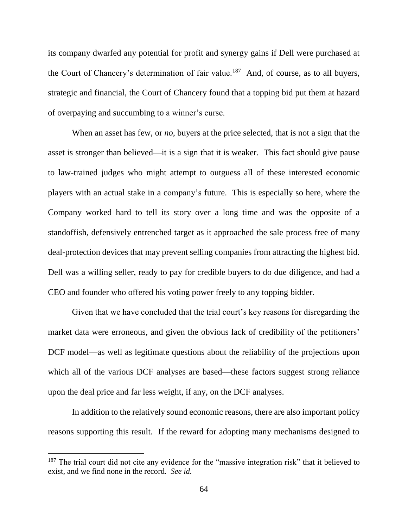its company dwarfed any potential for profit and synergy gains if Dell were purchased at the Court of Chancery's determination of fair value.<sup>187</sup> And, of course, as to all buyers, strategic and financial, the Court of Chancery found that a topping bid put them at hazard of overpaying and succumbing to a winner's curse.

When an asset has few, or *no*, buyers at the price selected, that is not a sign that the asset is stronger than believed—it is a sign that it is weaker. This fact should give pause to law-trained judges who might attempt to outguess all of these interested economic players with an actual stake in a company's future. This is especially so here, where the Company worked hard to tell its story over a long time and was the opposite of a standoffish, defensively entrenched target as it approached the sale process free of many deal-protection devices that may prevent selling companies from attracting the highest bid. Dell was a willing seller, ready to pay for credible buyers to do due diligence, and had a CEO and founder who offered his voting power freely to any topping bidder.

Given that we have concluded that the trial court's key reasons for disregarding the market data were erroneous, and given the obvious lack of credibility of the petitioners' DCF model—as well as legitimate questions about the reliability of the projections upon which all of the various DCF analyses are based—these factors suggest strong reliance upon the deal price and far less weight, if any, on the DCF analyses.

In addition to the relatively sound economic reasons, there are also important policy reasons supporting this result. If the reward for adopting many mechanisms designed to

<sup>&</sup>lt;sup>187</sup> The trial court did not cite any evidence for the "massive integration risk" that it believed to exist, and we find none in the record. *See id.*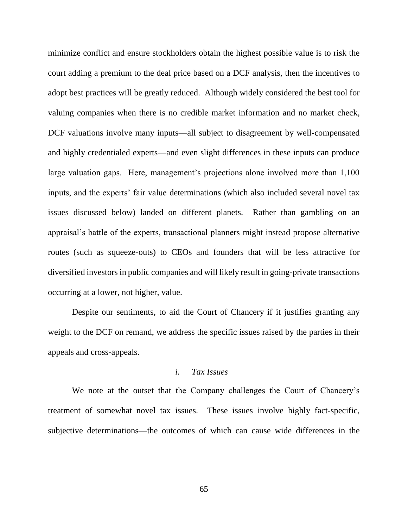minimize conflict and ensure stockholders obtain the highest possible value is to risk the court adding a premium to the deal price based on a DCF analysis, then the incentives to adopt best practices will be greatly reduced. Although widely considered the best tool for valuing companies when there is no credible market information and no market check, DCF valuations involve many inputs—all subject to disagreement by well-compensated and highly credentialed experts—and even slight differences in these inputs can produce large valuation gaps. Here, management's projections alone involved more than 1,100 inputs, and the experts' fair value determinations (which also included several novel tax issues discussed below) landed on different planets. Rather than gambling on an appraisal's battle of the experts, transactional planners might instead propose alternative routes (such as squeeze-outs) to CEOs and founders that will be less attractive for diversified investors in public companies and will likely result in going-private transactions occurring at a lower, not higher, value.

Despite our sentiments, to aid the Court of Chancery if it justifies granting any weight to the DCF on remand, we address the specific issues raised by the parties in their appeals and cross-appeals.

### *i. Tax Issues*

We note at the outset that the Company challenges the Court of Chancery's treatment of somewhat novel tax issues. These issues involve highly fact-specific, subjective determinations—the outcomes of which can cause wide differences in the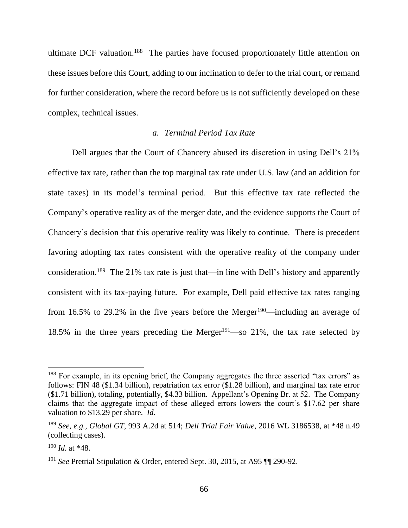ultimate DCF valuation.<sup>188</sup> The parties have focused proportionately little attention on these issues before this Court, adding to our inclination to defer to the trial court, or remand for further consideration, where the record before us is not sufficiently developed on these complex, technical issues.

### *a. Terminal Period Tax Rate*

Dell argues that the Court of Chancery abused its discretion in using Dell's 21% effective tax rate, rather than the top marginal tax rate under U.S. law (and an addition for state taxes) in its model's terminal period. But this effective tax rate reflected the Company's operative reality as of the merger date, and the evidence supports the Court of Chancery's decision that this operative reality was likely to continue. There is precedent favoring adopting tax rates consistent with the operative reality of the company under consideration.<sup>189</sup> The 21% tax rate is just that—in line with Dell's history and apparently consistent with its tax-paying future. For example, Dell paid effective tax rates ranging from 16.5% to 29.2% in the five years before the Merger<sup>190</sup>—including an average of 18.5% in the three years preceding the Merger<sup>191</sup>—so 21%, the tax rate selected by

<sup>&</sup>lt;sup>188</sup> For example, in its opening brief, the Company aggregates the three asserted "tax errors" as follows: FIN 48 (\$1.34 billion), repatriation tax error (\$1.28 billion), and marginal tax rate error (\$1.71 billion), totaling, potentially, \$4.33 billion. Appellant's Opening Br. at 52. The Company claims that the aggregate impact of these alleged errors lowers the court's \$17.62 per share valuation to \$13.29 per share. *Id.*

<sup>189</sup> *See, e.g.*, *Global GT*, 993 A.2d at 514; *Dell Trial Fair Value*, 2016 WL 3186538, at \*48 n.49 (collecting cases).

<sup>190</sup> *Id.* at \*48.

<sup>191</sup> *See* Pretrial Stipulation & Order, entered Sept. 30, 2015, at A95 ¶¶ 290-92.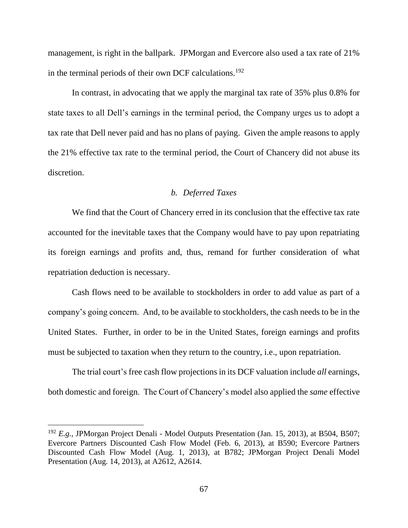management, is right in the ballpark. JPMorgan and Evercore also used a tax rate of 21% in the terminal periods of their own DCF calculations.<sup>192</sup>

In contrast, in advocating that we apply the marginal tax rate of 35% plus 0.8% for state taxes to all Dell's earnings in the terminal period, the Company urges us to adopt a tax rate that Dell never paid and has no plans of paying. Given the ample reasons to apply the 21% effective tax rate to the terminal period, the Court of Chancery did not abuse its discretion.

### *b. Deferred Taxes*

We find that the Court of Chancery erred in its conclusion that the effective tax rate accounted for the inevitable taxes that the Company would have to pay upon repatriating its foreign earnings and profits and, thus, remand for further consideration of what repatriation deduction is necessary.

Cash flows need to be available to stockholders in order to add value as part of a company's going concern. And, to be available to stockholders, the cash needs to be in the United States. Further, in order to be in the United States, foreign earnings and profits must be subjected to taxation when they return to the country, i.e., upon repatriation.

The trial court's free cash flow projections in its DCF valuation include *all* earnings, both domestic and foreign. The Court of Chancery's model also applied the *same* effective

<sup>192</sup> *E.g.*, JPMorgan Project Denali - Model Outputs Presentation (Jan. 15, 2013), at B504, B507; Evercore Partners Discounted Cash Flow Model (Feb. 6, 2013), at B590; Evercore Partners Discounted Cash Flow Model (Aug. 1, 2013), at B782; JPMorgan Project Denali Model Presentation (Aug. 14, 2013), at A2612, A2614.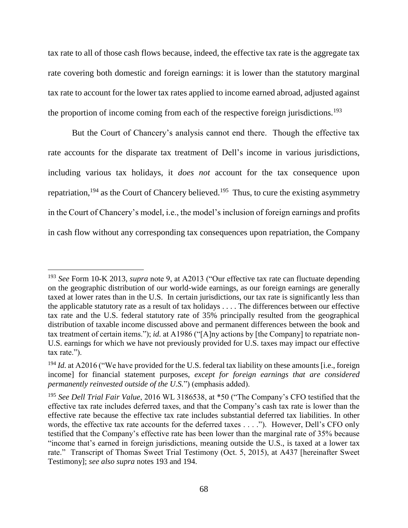tax rate to all of those cash flows because, indeed, the effective tax rate is the aggregate tax rate covering both domestic and foreign earnings: it is lower than the statutory marginal tax rate to account for the lower tax rates applied to income earned abroad, adjusted against the proportion of income coming from each of the respective foreign jurisdictions.<sup>193</sup>

But the Court of Chancery's analysis cannot end there. Though the effective tax rate accounts for the disparate tax treatment of Dell's income in various jurisdictions, including various tax holidays, it *does not* account for the tax consequence upon repatriation,  $194$  as the Court of Chancery believed.  $195$  Thus, to cure the existing asymmetry in the Court of Chancery's model, i.e., the model's inclusion of foreign earnings and profits in cash flow without any corresponding tax consequences upon repatriation, the Company

<sup>193</sup> *See* Form 10-K 2013, *supra* note 9, at A2013 ("Our effective tax rate can fluctuate depending on the geographic distribution of our world-wide earnings, as our foreign earnings are generally taxed at lower rates than in the U.S. In certain jurisdictions, our tax rate is significantly less than the applicable statutory rate as a result of tax holidays . . . . The differences between our effective tax rate and the U.S. federal statutory rate of 35% principally resulted from the geographical distribution of taxable income discussed above and permanent differences between the book and tax treatment of certain items."); *id.* at A1986 ("[A]ny actions by [the Company] to repatriate non-U.S. earnings for which we have not previously provided for U.S. taxes may impact our effective tax rate.").

<sup>&</sup>lt;sup>194</sup> *Id.* at A2016 ("We have provided for the U.S. federal tax liability on these amounts [i.e., foreign income] for financial statement purposes, *except for foreign earnings that are considered permanently reinvested outside of the U.S.*") (emphasis added).

<sup>195</sup> *See Dell Trial Fair Value*, 2016 WL 3186538, at \*50 ("The Company's CFO testified that the effective tax rate includes deferred taxes, and that the Company's cash tax rate is lower than the effective rate because the effective tax rate includes substantial deferred tax liabilities. In other words, the effective tax rate accounts for the deferred taxes . . . ."). However, Dell's CFO only testified that the Company's effective rate has been lower than the marginal rate of 35% because "income that's earned in foreign jurisdictions, meaning outside the U.S., is taxed at a lower tax rate." Transcript of Thomas Sweet Trial Testimony (Oct. 5, 2015), at A437 [hereinafter Sweet Testimony]; *see also supra* notes 193 and 194.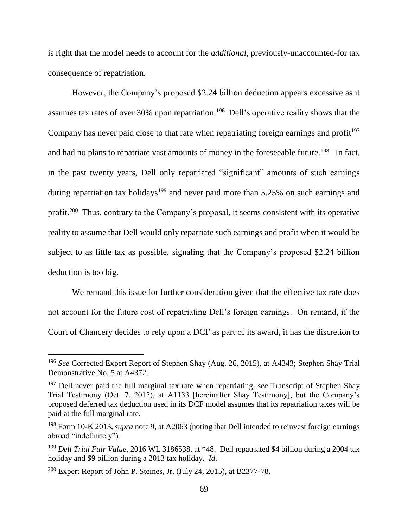is right that the model needs to account for the *additional*, previously-unaccounted-for tax consequence of repatriation.

However, the Company's proposed \$2.24 billion deduction appears excessive as it assumes tax rates of over 30% upon repatriation.<sup>196</sup> Dell's operative reality shows that the Company has never paid close to that rate when repatriating foreign earnings and profit<sup>197</sup> and had no plans to repatriate vast amounts of money in the foreseeable future.<sup>198</sup> In fact, in the past twenty years, Dell only repatriated "significant" amounts of such earnings during repatriation tax holidays<sup>199</sup> and never paid more than  $5.25\%$  on such earnings and profit.<sup>200</sup> Thus, contrary to the Company's proposal, it seems consistent with its operative reality to assume that Dell would only repatriate such earnings and profit when it would be subject to as little tax as possible, signaling that the Company's proposed \$2.24 billion deduction is too big.

We remand this issue for further consideration given that the effective tax rate does not account for the future cost of repatriating Dell's foreign earnings. On remand, if the Court of Chancery decides to rely upon a DCF as part of its award, it has the discretion to

<sup>196</sup> *See* Corrected Expert Report of Stephen Shay (Aug. 26, 2015), at A4343; Stephen Shay Trial Demonstrative No. 5 at A4372.

<sup>197</sup> Dell never paid the full marginal tax rate when repatriating, *see* Transcript of Stephen Shay Trial Testimony (Oct. 7, 2015), at A1133 [hereinafter Shay Testimony], but the Company's proposed deferred tax deduction used in its DCF model assumes that its repatriation taxes will be paid at the full marginal rate.

<sup>198</sup> Form 10-K 2013, *supra* note 9, at A2063 (noting that Dell intended to reinvest foreign earnings abroad "indefinitely").

<sup>199</sup> *Dell Trial Fair Value*, 2016 WL 3186538, at \*48. Dell repatriated \$4 billion during a 2004 tax holiday and \$9 billion during a 2013 tax holiday. *Id*.

<sup>200</sup> Expert Report of John P. Steines, Jr. (July 24, 2015), at B2377-78.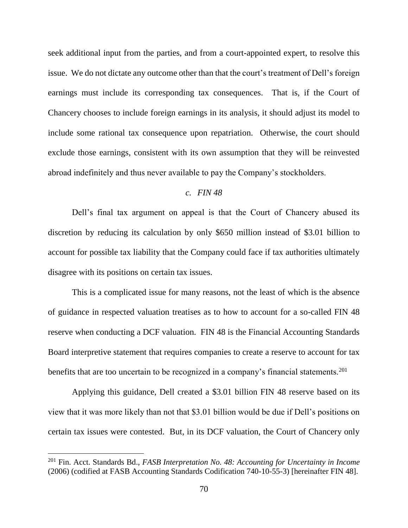seek additional input from the parties, and from a court-appointed expert, to resolve this issue. We do not dictate any outcome other than that the court's treatment of Dell's foreign earnings must include its corresponding tax consequences. That is, if the Court of Chancery chooses to include foreign earnings in its analysis, it should adjust its model to include some rational tax consequence upon repatriation. Otherwise, the court should exclude those earnings, consistent with its own assumption that they will be reinvested abroad indefinitely and thus never available to pay the Company's stockholders.

### *c. FIN 48*

Dell's final tax argument on appeal is that the Court of Chancery abused its discretion by reducing its calculation by only \$650 million instead of \$3.01 billion to account for possible tax liability that the Company could face if tax authorities ultimately disagree with its positions on certain tax issues.

This is a complicated issue for many reasons, not the least of which is the absence of guidance in respected valuation treatises as to how to account for a so-called FIN 48 reserve when conducting a DCF valuation. FIN 48 is the Financial Accounting Standards Board interpretive statement that requires companies to create a reserve to account for tax benefits that are too uncertain to be recognized in a company's financial statements.<sup>201</sup>

Applying this guidance, Dell created a \$3.01 billion FIN 48 reserve based on its view that it was more likely than not that \$3.01 billion would be due if Dell's positions on certain tax issues were contested. But, in its DCF valuation, the Court of Chancery only

<sup>201</sup> Fin. Acct. Standards Bd., *FASB Interpretation No. 48: Accounting for Uncertainty in Income*  (2006) (codified at FASB Accounting Standards Codification 740-10-55-3) [hereinafter FIN 48].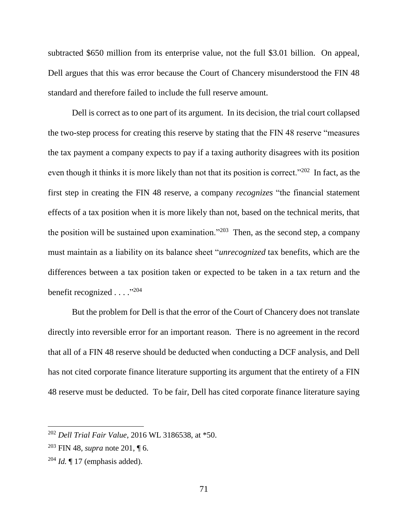subtracted \$650 million from its enterprise value, not the full \$3.01 billion. On appeal, Dell argues that this was error because the Court of Chancery misunderstood the FIN 48 standard and therefore failed to include the full reserve amount.

Dell is correct as to one part of its argument. In its decision, the trial court collapsed the two-step process for creating this reserve by stating that the FIN 48 reserve "measures the tax payment a company expects to pay if a taxing authority disagrees with its position even though it thinks it is more likely than not that its position is correct."<sup>202</sup> In fact, as the first step in creating the FIN 48 reserve, a company *recognizes* "the financial statement effects of a tax position when it is more likely than not, based on the technical merits, that the position will be sustained upon examination."<sup>203</sup> Then, as the second step, a company must maintain as a liability on its balance sheet "*unrecognized* tax benefits, which are the differences between a tax position taken or expected to be taken in a tax return and the benefit recognized . . . . "204

But the problem for Dell is that the error of the Court of Chancery does not translate directly into reversible error for an important reason. There is no agreement in the record that all of a FIN 48 reserve should be deducted when conducting a DCF analysis, and Dell has not cited corporate finance literature supporting its argument that the entirety of a FIN 48 reserve must be deducted. To be fair, Dell has cited corporate finance literature saying

<sup>202</sup> *Dell Trial Fair Value*, 2016 WL 3186538, at \*50.

<sup>203</sup> FIN 48, *supra* note 201, ¶ 6.

 $^{204}$  *Id.*  $\llbracket$  17 (emphasis added).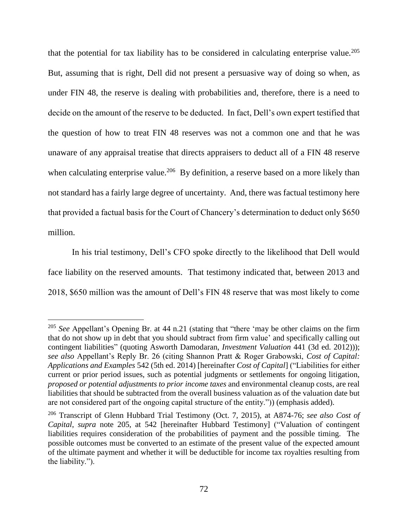that the potential for tax liability has to be considered in calculating enterprise value.<sup>205</sup> But, assuming that is right, Dell did not present a persuasive way of doing so when, as under FIN 48, the reserve is dealing with probabilities and, therefore, there is a need to decide on the amount of the reserve to be deducted. In fact, Dell's own expert testified that the question of how to treat FIN 48 reserves was not a common one and that he was unaware of any appraisal treatise that directs appraisers to deduct all of a FIN 48 reserve when calculating enterprise value.<sup>206</sup> By definition, a reserve based on a more likely than not standard has a fairly large degree of uncertainty. And, there was factual testimony here that provided a factual basis for the Court of Chancery's determination to deduct only \$650 million.

In his trial testimony, Dell's CFO spoke directly to the likelihood that Dell would face liability on the reserved amounts. That testimony indicated that, between 2013 and 2018, \$650 million was the amount of Dell's FIN 48 reserve that was most likely to come

<sup>&</sup>lt;sup>205</sup> See Appellant's Opening Br. at 44 n.21 (stating that "there 'may be other claims on the firm that do not show up in debt that you should subtract from firm value' and specifically calling out contingent liabilities" (quoting Asworth Damodaran, *Investment Valuation* 441 (3d ed. 2012))); *see also* Appellant's Reply Br. 26 (citing Shannon Pratt & Roger Grabowski, *Cost of Capital: Applications and Examples* 542 (5th ed. 2014) [hereinafter *Cost of Capital*] ("Liabilities for either current or prior period issues, such as potential judgments or settlements for ongoing litigation, *proposed or potential adjustments to prior income taxes* and environmental cleanup costs, are real liabilities that should be subtracted from the overall business valuation as of the valuation date but are not considered part of the ongoing capital structure of the entity.")) (emphasis added).

<sup>206</sup> Transcript of Glenn Hubbard Trial Testimony (Oct. 7, 2015), at A874-76; *see also Cost of Capital*, *supra* note 205, at 542 [hereinafter Hubbard Testimony] ("Valuation of contingent liabilities requires consideration of the probabilities of payment and the possible timing. The possible outcomes must be converted to an estimate of the present value of the expected amount of the ultimate payment and whether it will be deductible for income tax royalties resulting from the liability.").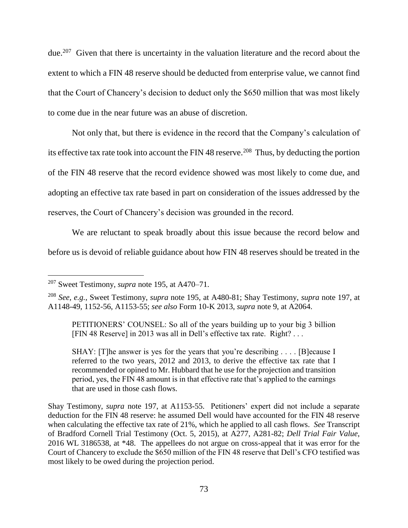due.<sup>207</sup> Given that there is uncertainty in the valuation literature and the record about the extent to which a FIN 48 reserve should be deducted from enterprise value, we cannot find that the Court of Chancery's decision to deduct only the \$650 million that was most likely to come due in the near future was an abuse of discretion.

Not only that, but there is evidence in the record that the Company's calculation of its effective tax rate took into account the FIN 48 reserve.<sup>208</sup> Thus, by deducting the portion of the FIN 48 reserve that the record evidence showed was most likely to come due, and adopting an effective tax rate based in part on consideration of the issues addressed by the reserves, the Court of Chancery's decision was grounded in the record.

We are reluctant to speak broadly about this issue because the record below and before us is devoid of reliable guidance about how FIN 48 reserves should be treated in the

 $\overline{a}$ 

SHAY: [T]he answer is yes for the years that you're describing . . . . [B] ecause I referred to the two years, 2012 and 2013, to derive the effective tax rate that I recommended or opined to Mr. Hubbard that he use for the projection and transition period, yes, the FIN 48 amount is in that effective rate that's applied to the earnings that are used in those cash flows.

Shay Testimony, *supra* note 197, at A1153-55. Petitioners' expert did not include a separate deduction for the FIN 48 reserve: he assumed Dell would have accounted for the FIN 48 reserve when calculating the effective tax rate of 21%, which he applied to all cash flows. *See* Transcript of Bradford Cornell Trial Testimony (Oct. 5, 2015), at A277, A281-82; *Dell Trial Fair Value*, 2016 WL 3186538, at \*48. The appellees do not argue on cross-appeal that it was error for the Court of Chancery to exclude the \$650 million of the FIN 48 reserve that Dell's CFO testified was most likely to be owed during the projection period.

<sup>207</sup> Sweet Testimony, *supra* note 195, at A470–71.

<sup>208</sup> *See, e.g.*, Sweet Testimony, *supra* note 195, at A480-81; Shay Testimony, *supra* note 197, at A1148-49, 1152-56, A1153-55; *see also* Form 10-K 2013, *supra* note 9, at A2064.

PETITIONERS' COUNSEL: So all of the years building up to your big 3 billion [FIN 48 Reserve] in 2013 was all in Dell's effective tax rate. Right? . . .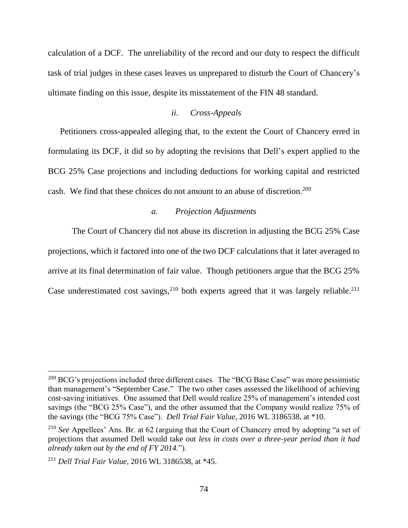calculation of a DCF. The unreliability of the record and our duty to respect the difficult task of trial judges in these cases leaves us unprepared to disturb the Court of Chancery's ultimate finding on this issue, despite its misstatement of the FIN 48 standard.

## *ii. Cross-Appeals*

Petitioners cross-appealed alleging that, to the extent the Court of Chancery erred in formulating its DCF, it did so by adopting the revisions that Dell's expert applied to the BCG 25% Case projections and including deductions for working capital and restricted cash. We find that these choices do not amount to an abuse of discretion.<sup>209</sup>

#### *a. Projection Adjustments*

The Court of Chancery did not abuse its discretion in adjusting the BCG 25% Case projections, which it factored into one of the two DCF calculations that it later averaged to arrive at its final determination of fair value. Though petitioners argue that the BCG 25% Case underestimated cost savings,  $2^{10}$  both experts agreed that it was largely reliable.  $2^{11}$ 

<sup>&</sup>lt;sup>209</sup> BCG's projections included three different cases. The "BCG Base Case" was more pessimistic than management's "September Case." The two other cases assessed the likelihood of achieving cost-saving initiatives. One assumed that Dell would realize 25% of management's intended cost savings (the "BCG 25% Case"), and the other assumed that the Company would realize 75% of the savings (the "BCG 75% Case"). *Dell Trial Fair Value*, 2016 WL 3186538, at \*10.

<sup>210</sup> *See* Appellees' Ans. Br. at 62 (arguing that the Court of Chancery erred by adopting "a set of projections that assumed Dell would take out *less in costs over a three-year period than it had already taken out by the end of FY 2014*.").

<sup>211</sup> *Dell Trial Fair Value*, 2016 WL 3186538, at \*45.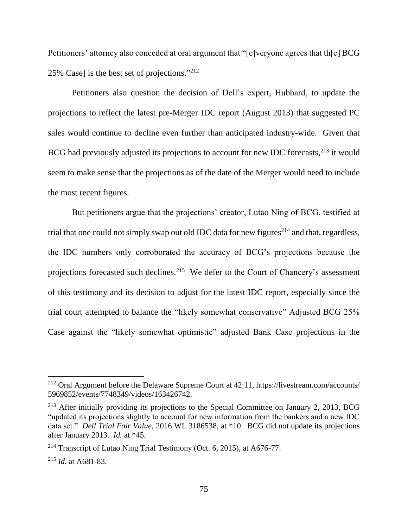Petitioners' attorney also conceded at oral argument that "[e]veryone agrees that th[e] BCG 25% Case] is the best set of projections." 212

Petitioners also question the decision of Dell's expert, Hubbard, to update the projections to reflect the latest pre-Merger IDC report (August 2013) that suggested PC sales would continue to decline even further than anticipated industry-wide. Given that BCG had previously adjusted its projections to account for new IDC forecasts, <sup>213</sup> it would seem to make sense that the projections as of the date of the Merger would need to include the most recent figures.

But petitioners argue that the projections' creator, Lutao Ning of BCG, testified at trial that one could not simply swap out old IDC data for new figures<sup>214</sup> and that, regardless, the IDC numbers only corroborated the accuracy of BCG's projections because the projections forecasted such declines.<sup>215</sup> We defer to the Court of Chancery's assessment of this testimony and its decision to adjust for the latest IDC report, especially since the trial court attempted to balance the "likely somewhat conservative" Adjusted BCG 25% Case against the "likely somewhat optimistic" adjusted Bank Case projections in the

<sup>212</sup> Oral Argument before the Delaware Supreme Court at 42:11, https://livestream.com/accounts/ 5969852/events/7748349/videos/163426742.

 $213$  After initially providing its projections to the Special Committee on January 2, 2013, BCG "updated its projections slightly to account for new information from the bankers and a new IDC data set." *Dell Trial Fair Value*, 2016 WL 3186538, at \*10. BCG did not update its projections after January 2013. *Id.* at \*45.

<sup>&</sup>lt;sup>214</sup> Transcript of Lutao Ning Trial Testimony (Oct. 6, 2015), at A676-77.

<sup>215</sup> *Id.* at A681-83.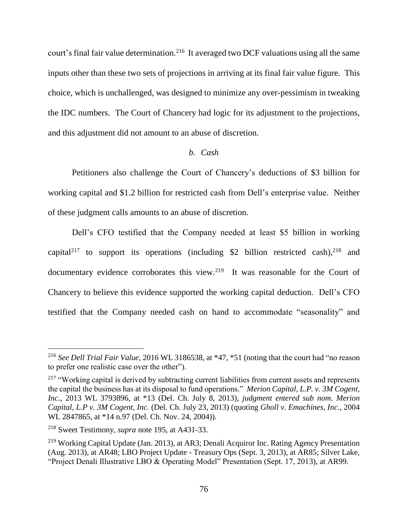court's final fair value determination.<sup>216</sup> It averaged two DCF valuations using all the same inputs other than these two sets of projections in arriving at its final fair value figure. This choice, which is unchallenged, was designed to minimize any over-pessimism in tweaking the IDC numbers. The Court of Chancery had logic for its adjustment to the projections, and this adjustment did not amount to an abuse of discretion.

#### *b. Cash*

Petitioners also challenge the Court of Chancery's deductions of \$3 billion for working capital and \$1.2 billion for restricted cash from Dell's enterprise value. Neither of these judgment calls amounts to an abuse of discretion.

Dell's CFO testified that the Company needed at least \$5 billion in working capital<sup>217</sup> to support its operations (including \$2 billion restricted cash),  $2^{18}$  and documentary evidence corroborates this view.<sup>219</sup> It was reasonable for the Court of Chancery to believe this evidence supported the working capital deduction. Dell's CFO testified that the Company needed cash on hand to accommodate "seasonality" and

<sup>216</sup> *See Dell Trial Fair Value*, 2016 WL 3186538, at \*47, \*51 (noting that the court had "no reason to prefer one realistic case over the other").

<sup>&</sup>lt;sup>217</sup> "Working capital is derived by subtracting current liabilities from current assets and represents the capital the business has at its disposal to fund operations." *Merion Capital, L.P. v. 3M Cogent, Inc.*, 2013 WL 3793896, at \*13 (Del. Ch. July 8, 2013), *judgment entered sub nom. Merion Capital, L.P v. 3M Cogent, Inc.* (Del. Ch. July 23, 2013) (quoting *Gholl v. Emachines, Inc.*, 2004 WL 2847865, at \*14 n.97 (Del. Ch. Nov. 24, 2004)).

<sup>218</sup> Sweet Testimony, *supra* note 195, at A431-33.

<sup>&</sup>lt;sup>219</sup> Working Capital Update (Jan. 2013), at AR3; Denali Acquiror Inc. Rating Agency Presentation (Aug. 2013), at AR48; LBO Project Update - Treasury Ops (Sept. 3, 2013), at AR85; Silver Lake, "Project Denali Illustrative LBO & Operating Model" Presentation (Sept. 17, 2013), at AR99.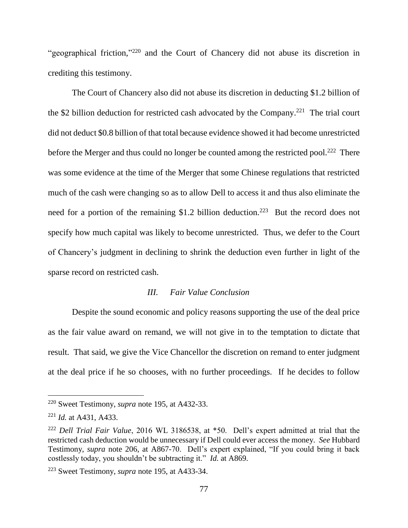"geographical friction,"<sup>220</sup> and the Court of Chancery did not abuse its discretion in crediting this testimony.

The Court of Chancery also did not abuse its discretion in deducting \$1.2 billion of the \$2 billion deduction for restricted cash advocated by the Company.<sup>221</sup> The trial court did not deduct \$0.8 billion of that total because evidence showed it had become unrestricted before the Merger and thus could no longer be counted among the restricted pool.<sup>222</sup> There was some evidence at the time of the Merger that some Chinese regulations that restricted much of the cash were changing so as to allow Dell to access it and thus also eliminate the need for a portion of the remaining \$1.2 billion deduction.<sup>223</sup> But the record does not specify how much capital was likely to become unrestricted. Thus, we defer to the Court of Chancery's judgment in declining to shrink the deduction even further in light of the sparse record on restricted cash.

## *III. Fair Value Conclusion*

Despite the sound economic and policy reasons supporting the use of the deal price as the fair value award on remand, we will not give in to the temptation to dictate that result. That said, we give the Vice Chancellor the discretion on remand to enter judgment at the deal price if he so chooses, with no further proceedings. If he decides to follow

<sup>220</sup> Sweet Testimony, *supra* note 195, at A432-33.

<sup>221</sup> *Id.* at A431, A433.

<sup>222</sup> *Dell Trial Fair Value*, 2016 WL 3186538, at \*50. Dell's expert admitted at trial that the restricted cash deduction would be unnecessary if Dell could ever access the money. *See* Hubbard Testimony, *supra* note 206, at A867-70. Dell's expert explained, "If you could bring it back costlessly today, you shouldn't be subtracting it." *Id.* at A869.

<sup>223</sup> Sweet Testimony, *supra* note 195, at A433-34.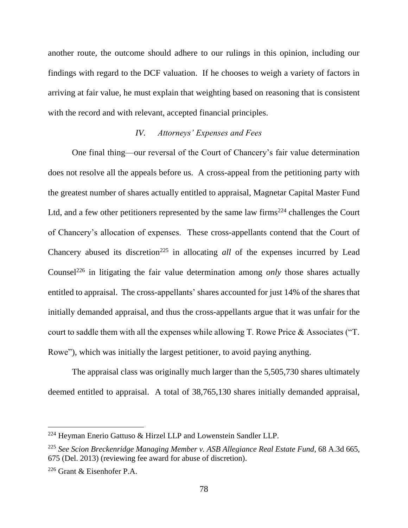another route, the outcome should adhere to our rulings in this opinion, including our findings with regard to the DCF valuation. If he chooses to weigh a variety of factors in arriving at fair value, he must explain that weighting based on reasoning that is consistent with the record and with relevant, accepted financial principles.

# *IV. Attorneys' Expenses and Fees*

One final thing—our reversal of the Court of Chancery's fair value determination does not resolve all the appeals before us. A cross-appeal from the petitioning party with the greatest number of shares actually entitled to appraisal, Magnetar Capital Master Fund Ltd, and a few other petitioners represented by the same law firms<sup>224</sup> challenges the Court of Chancery's allocation of expenses. These cross-appellants contend that the Court of Chancery abused its discretion<sup>225</sup> in allocating *all* of the expenses incurred by Lead Counsel<sup>226</sup> in litigating the fair value determination among *only* those shares actually entitled to appraisal. The cross-appellants' shares accounted for just 14% of the shares that initially demanded appraisal, and thus the cross-appellants argue that it was unfair for the court to saddle them with all the expenses while allowing T. Rowe Price & Associates ("T. Rowe"), which was initially the largest petitioner, to avoid paying anything.

The appraisal class was originally much larger than the 5,505,730 shares ultimately deemed entitled to appraisal. A total of 38,765,130 shares initially demanded appraisal,

<sup>224</sup> Heyman Enerio Gattuso & Hirzel LLP and Lowenstein Sandler LLP.

<sup>225</sup> *See Scion Breckenridge Managing Member v. ASB Allegiance Real Estate Fund*, 68 A.3d 665, 675 (Del. 2013) (reviewing fee award for abuse of discretion).

<sup>226</sup> Grant & Eisenhofer P.A.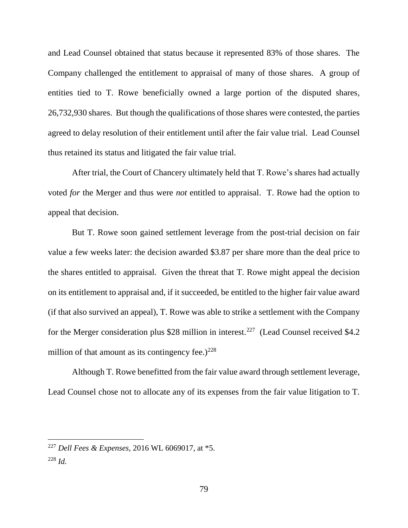and Lead Counsel obtained that status because it represented 83% of those shares. The Company challenged the entitlement to appraisal of many of those shares. A group of entities tied to T. Rowe beneficially owned a large portion of the disputed shares, 26,732,930 shares. But though the qualifications of those shares were contested, the parties agreed to delay resolution of their entitlement until after the fair value trial. Lead Counsel thus retained its status and litigated the fair value trial.

After trial, the Court of Chancery ultimately held that T. Rowe's shares had actually voted *for* the Merger and thus were *not* entitled to appraisal. T. Rowe had the option to appeal that decision.

But T. Rowe soon gained settlement leverage from the post-trial decision on fair value a few weeks later: the decision awarded \$3.87 per share more than the deal price to the shares entitled to appraisal. Given the threat that T. Rowe might appeal the decision on its entitlement to appraisal and, if it succeeded, be entitled to the higher fair value award (if that also survived an appeal), T. Rowe was able to strike a settlement with the Company for the Merger consideration plus \$28 million in interest.<sup>227</sup> (Lead Counsel received \$4.2) million of that amount as its contingency fee.) $228$ 

Although T. Rowe benefitted from the fair value award through settlement leverage, Lead Counsel chose not to allocate any of its expenses from the fair value litigation to T.

<sup>227</sup> *Dell Fees & Expenses*, 2016 WL 6069017, at \*5. <sup>228</sup> *Id.*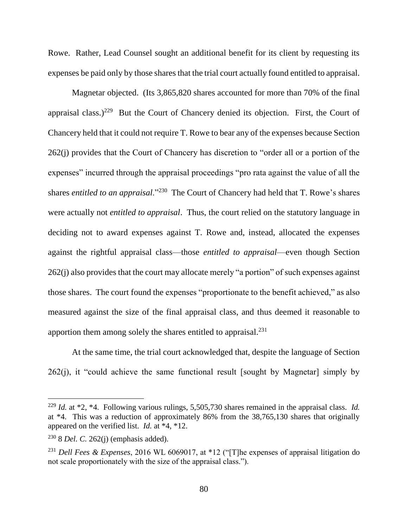Rowe. Rather, Lead Counsel sought an additional benefit for its client by requesting its expenses be paid only by those shares that the trial court actually found entitled to appraisal.

Magnetar objected. (Its 3,865,820 shares accounted for more than 70% of the final appraisal class.)<sup>229</sup> But the Court of Chancery denied its objection. First, the Court of Chancery held that it could not require T. Rowe to bear any of the expenses because Section 262(j) provides that the Court of Chancery has discretion to "order all or a portion of the expenses" incurred through the appraisal proceedings "pro rata against the value of all the shares *entitled to an appraisal*."<sup>230</sup> The Court of Chancery had held that T. Rowe's shares were actually not *entitled to appraisal*. Thus, the court relied on the statutory language in deciding not to award expenses against T. Rowe and, instead, allocated the expenses against the rightful appraisal class—those *entitled to appraisal*—even though Section 262(j) also provides that the court may allocate merely "a portion" of such expenses against those shares. The court found the expenses "proportionate to the benefit achieved," as also measured against the size of the final appraisal class, and thus deemed it reasonable to apportion them among solely the shares entitled to appraisal.<sup>231</sup>

At the same time, the trial court acknowledged that, despite the language of Section  $262(i)$ , it "could achieve the same functional result [sought by Magnetar] simply by

<sup>229</sup> *Id.* at \*2, \*4. Following various rulings, 5,505,730 shares remained in the appraisal class. *Id.* at \*4. This was a reduction of approximately 86% from the 38,765,130 shares that originally appeared on the verified list. *Id.* at \*4, \*12.

<sup>230</sup> 8 *Del. C.* 262(j) (emphasis added).

<sup>231</sup> *Dell Fees & Expenses*, 2016 WL 6069017, at \*12 ("[T]he expenses of appraisal litigation do not scale proportionately with the size of the appraisal class.").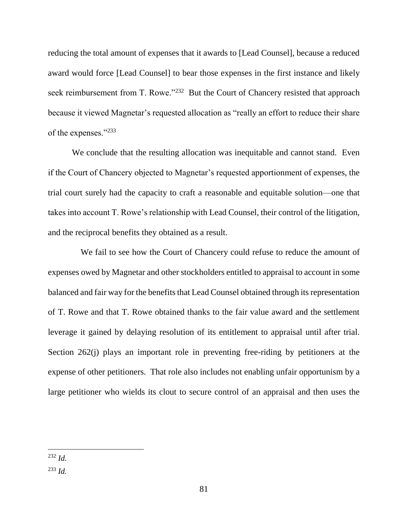reducing the total amount of expenses that it awards to [Lead Counsel], because a reduced award would force [Lead Counsel] to bear those expenses in the first instance and likely seek reimbursement from T. Rowe."<sup>232</sup> But the Court of Chancery resisted that approach because it viewed Magnetar's requested allocation as "really an effort to reduce their share of the expenses."<sup>233</sup>

We conclude that the resulting allocation was inequitable and cannot stand. Even if the Court of Chancery objected to Magnetar's requested apportionment of expenses, the trial court surely had the capacity to craft a reasonable and equitable solution—one that takes into account T. Rowe's relationship with Lead Counsel, their control of the litigation, and the reciprocal benefits they obtained as a result.

 We fail to see how the Court of Chancery could refuse to reduce the amount of expenses owed by Magnetar and other stockholders entitled to appraisal to account in some balanced and fair way for the benefits that Lead Counsel obtained through its representation of T. Rowe and that T. Rowe obtained thanks to the fair value award and the settlement leverage it gained by delaying resolution of its entitlement to appraisal until after trial. Section 262(j) plays an important role in preventing free-riding by petitioners at the expense of other petitioners. That role also includes not enabling unfair opportunism by a large petitioner who wields its clout to secure control of an appraisal and then uses the

 $\overline{a}$ <sup>232</sup> *Id.*

<sup>233</sup> *Id.*